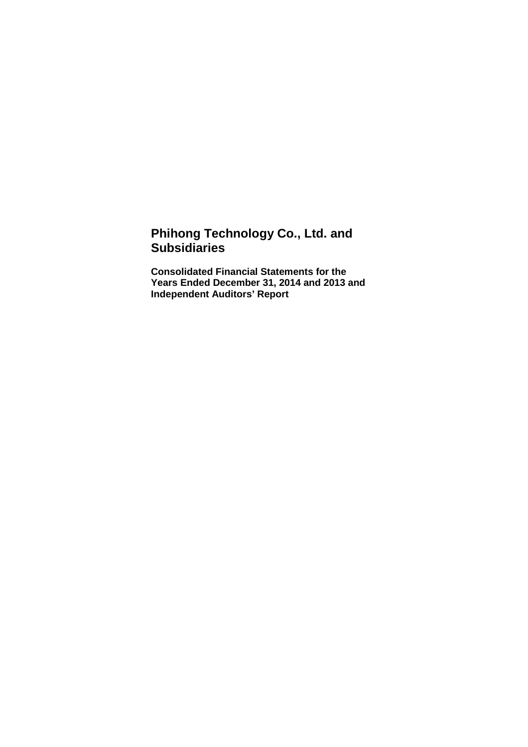# **Phihong Technology Co., Ltd. and Subsidiaries**

**Consolidated Financial Statements for the Years Ended December 31, 2014 and 2013 and Independent Auditors' Report**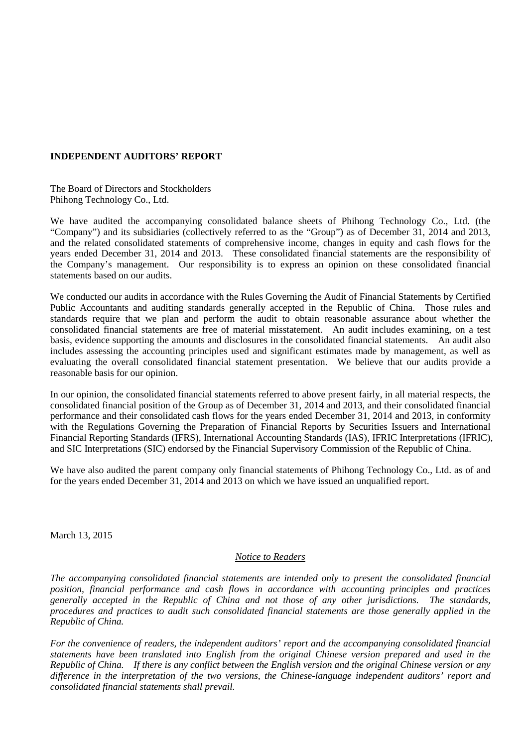# **INDEPENDENT AUDITORS' REPORT**

The Board of Directors and Stockholders Phihong Technology Co., Ltd.

We have audited the accompanying consolidated balance sheets of Phihong Technology Co., Ltd. (the "Company") and its subsidiaries (collectively referred to as the "Group") as of December 31, 2014 and 2013, and the related consolidated statements of comprehensive income, changes in equity and cash flows for the years ended December 31, 2014 and 2013. These consolidated financial statements are the responsibility of the Company's management. Our responsibility is to express an opinion on these consolidated financial statements based on our audits.

We conducted our audits in accordance with the Rules Governing the Audit of Financial Statements by Certified Public Accountants and auditing standards generally accepted in the Republic of China. Those rules and standards require that we plan and perform the audit to obtain reasonable assurance about whether the consolidated financial statements are free of material misstatement. An audit includes examining, on a test basis, evidence supporting the amounts and disclosures in the consolidated financial statements. An audit also includes assessing the accounting principles used and significant estimates made by management, as well as evaluating the overall consolidated financial statement presentation. We believe that our audits provide a reasonable basis for our opinion.

In our opinion, the consolidated financial statements referred to above present fairly, in all material respects, the consolidated financial position of the Group as of December 31, 2014 and 2013, and their consolidated financial performance and their consolidated cash flows for the years ended December 31, 2014 and 2013, in conformity with the Regulations Governing the Preparation of Financial Reports by Securities Issuers and International Financial Reporting Standards (IFRS), International Accounting Standards (IAS), IFRIC Interpretations (IFRIC), and SIC Interpretations (SIC) endorsed by the Financial Supervisory Commission of the Republic of China.

We have also audited the parent company only financial statements of Phihong Technology Co., Ltd. as of and for the years ended December 31, 2014 and 2013 on which we have issued an unqualified report.

March 13, 2015

## *Notice to Readers*

*The accompanying consolidated financial statements are intended only to present the consolidated financial position, financial performance and cash flows in accordance with accounting principles and practices generally accepted in the Republic of China and not those of any other jurisdictions. The standards, procedures and practices to audit such consolidated financial statements are those generally applied in the Republic of China.* 

*For the convenience of readers, the independent auditors' report and the accompanying consolidated financial statements have been translated into English from the original Chinese version prepared and used in the Republic of China. If there is any conflict between the English version and the original Chinese version or any difference in the interpretation of the two versions, the Chinese-language independent auditors' report and consolidated financial statements shall prevail.*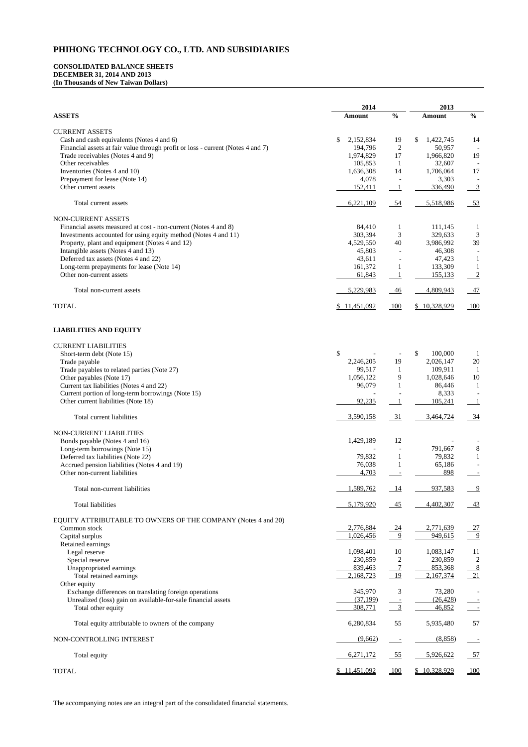# **CONSOLIDATED BALANCE SHEETS DECEMBER 31, 2014 AND 2013 (In Thousands of New Taiwan Dollars)**

|                                                                                 | 2014                | 2013              |                         |                |
|---------------------------------------------------------------------------------|---------------------|-------------------|-------------------------|----------------|
| <b>ASSETS</b>                                                                   | <b>Amount</b>       | $\frac{0}{0}$     | <b>Amount</b>           | $\frac{6}{6}$  |
| <b>CURRENT ASSETS</b>                                                           |                     |                   |                         |                |
| Cash and cash equivalents (Notes 4 and 6)                                       | \$<br>2,152,834     | 19                | 1,422,745<br>\$         | 14             |
| Financial assets at fair value through profit or loss - current (Notes 4 and 7) | 194,796             | $\overline{2}$    | 50,957                  |                |
| Trade receivables (Notes 4 and 9)                                               | 1,974,829           | 17                | 1,966,820               | 19             |
| Other receivables                                                               | 105,853             | $\mathbf{1}$      | 32,607                  |                |
| Inventories (Notes 4 and 10)                                                    | 1,636,308           | 14                | 1,706,064               | 17             |
| Prepayment for lease (Note 14)                                                  | 4,078               |                   | 3,303                   |                |
| Other current assets                                                            | 152,411             |                   | 336,490                 | $\frac{3}{2}$  |
| Total current assets                                                            | 6,221,109           | $\_54$            | 5,518,986               | $-53$          |
| NON-CURRENT ASSETS                                                              |                     |                   |                         |                |
| Financial assets measured at cost - non-current (Notes 4 and 8)                 | 84,410              | 1                 | 111,145                 | $\mathbf{l}$   |
| Investments accounted for using equity method (Notes 4 and 11)                  | 303,394             | 3                 | 329,633                 | 3              |
| Property, plant and equipment (Notes 4 and 12)                                  | 4,529,550           | 40                | 3,986,992               | 39             |
| Intangible assets (Notes 4 and 13)                                              | 45,803              |                   | 46,308                  |                |
| Deferred tax assets (Notes 4 and 22)                                            | 43,611              |                   | 47,423                  | $\mathbf{1}$   |
| Long-term prepayments for lease (Note 14)                                       | 161,372             |                   | 133,309                 | 1              |
| Other non-current assets                                                        | 61,843              |                   | 155,133                 | $\sqrt{2}$     |
| Total non-current assets                                                        | 5,229,983           | $-46$             | 4,809,943               | $-47$          |
| <b>TOTAL</b>                                                                    | \$11,451,092        | 100               | \$10,328,929            | 100            |
| <b>LIABILITIES AND EQUITY</b>                                                   |                     |                   |                         |                |
|                                                                                 |                     |                   |                         |                |
| <b>CURRENT LIABILITIES</b>                                                      |                     |                   |                         |                |
| Short-term debt (Note 15)                                                       | \$                  |                   | $\mathbb{S}$<br>100,000 |                |
| Trade payable                                                                   | 2,246,205           | 19                | 2,026,147               | 20             |
| Trade payables to related parties (Note 27)                                     | 99,517<br>1,056,122 | $\mathbf{1}$<br>9 | 109,911<br>1,028,646    | -1<br>10       |
| Other payables (Note 17)<br>Current tax liabilities (Notes 4 and 22)            | 96,079              |                   | 86,446                  |                |
| Current portion of long-term borrowings (Note 15)                               |                     |                   | 8,333                   |                |
| Other current liabilities (Note 18)                                             | 92,235              |                   | 105,241                 |                |
| Total current liabilities                                                       | 3,590,158           | $-31$             | 3,464,724               | $\frac{34}{5}$ |
|                                                                                 |                     |                   |                         |                |
| NON-CURRENT LIABILITIES<br>Bonds payable (Notes 4 and 16)                       | 1,429,189           | 12                |                         |                |
| Long-term borrowings (Note 15)                                                  |                     |                   | 791,667                 | $\bf 8$        |
| Deferred tax liabilities (Note 22)                                              | 79,832              |                   | 79,832                  | 1              |
| Accrued pension liabilities (Notes 4 and 19)                                    | 76,038              |                   | 65,186                  |                |
| Other non-current liabilities                                                   | 4,703               |                   | 898                     |                |
|                                                                                 |                     |                   |                         |                |
| Total non-current liabilities                                                   | 1,589,762           | <u>14</u>         | 937,583                 | $\overline{9}$ |
| <b>Total liabilities</b>                                                        | 5,179,920           | $-45$             | 4,402,307               | $\frac{43}{2}$ |
| EQUITY ATTRIBUTABLE TO OWNERS OF THE COMPANY (Notes 4 and 20)                   |                     |                   |                         |                |
| Common stock                                                                    | 2,776,884           | $\frac{24}{ }$    | 2,771,639               | <u>27</u>      |
| Capital surplus                                                                 | 1,026,456           | - 9               | 949,615                 | $\frac{9}{2}$  |
| Retained earnings                                                               | 1,098,401           | 10                | 1,083,147               | 11             |
| Legal reserve<br>Special reserve                                                | 230,859             | $\overline{2}$    | 230,859                 | $\overline{2}$ |
| Unappropriated earnings                                                         | 839,463             | $\overline{7}$    | 853,368                 |                |
| Total retained earnings                                                         | 2,168,723           | 19                | 2,167,374               | $\frac{8}{21}$ |
| Other equity                                                                    |                     |                   |                         |                |
| Exchange differences on translating foreign operations                          | 345,970             | 3                 | 73,280                  |                |
| Unrealized (loss) gain on available-for-sale financial assets                   | (37, 199)           |                   | (26, 428)               |                |
| Total other equity                                                              | 308,771             | $\overline{3}$    | 46,852                  |                |
| Total equity attributable to owners of the company                              | 6,280,834           | 55                | 5,935,480               | 57             |
| NON-CONTROLLING INTEREST                                                        | (9,662)             |                   | (8,858)                 |                |
| Total equity                                                                    | 6,271,172           | $-55$             | 5,926,622               | 57             |
| <b>TOTAL</b>                                                                    | \$11,451,092        | 100               | \$10,328,929            | 100            |

The accompanying notes are an integral part of the consolidated financial statements.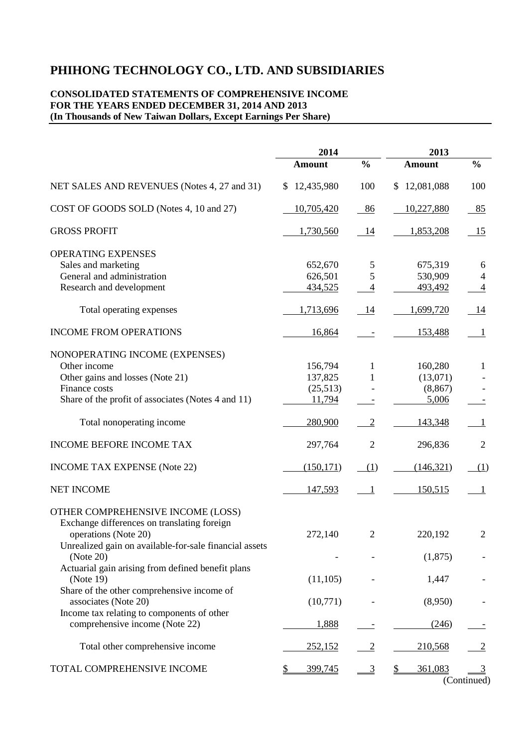# **CONSOLIDATED STATEMENTS OF COMPREHENSIVE INCOME FOR THE YEARS ENDED DECEMBER 31, 2014 AND 2013 (In Thousands of New Taiwan Dollars, Except Earnings Per Share)**

|                                                                                                                                                                                 | 2014                                     |                                    | 2013                                     |                                       |
|---------------------------------------------------------------------------------------------------------------------------------------------------------------------------------|------------------------------------------|------------------------------------|------------------------------------------|---------------------------------------|
|                                                                                                                                                                                 | <b>Amount</b>                            | $\frac{0}{0}$                      | Amount                                   | $\frac{0}{0}$                         |
| NET SALES AND REVENUES (Notes 4, 27 and 31)                                                                                                                                     | \$12,435,980                             | 100                                | \$12,081,088                             | 100                                   |
| COST OF GOODS SOLD (Notes 4, 10 and 27)                                                                                                                                         | 10,705,420                               | 86                                 | 10,227,880                               | 85                                    |
| <b>GROSS PROFIT</b>                                                                                                                                                             | 1,730,560                                | 14                                 | 1,853,208                                | 15                                    |
| <b>OPERATING EXPENSES</b><br>Sales and marketing<br>General and administration<br>Research and development                                                                      | 652,670<br>626,501<br>434,525            | 5<br>5<br>$\overline{\mathcal{A}}$ | 675,319<br>530,909<br>493,492            | 6<br>$\overline{4}$<br>$\overline{4}$ |
| Total operating expenses                                                                                                                                                        | 1,713,696                                | 14                                 | 1,699,720                                | 14                                    |
| <b>INCOME FROM OPERATIONS</b>                                                                                                                                                   | 16,864                                   |                                    | 153,488                                  | $\mathbf{1}$                          |
| NONOPERATING INCOME (EXPENSES)<br>Other income<br>Other gains and losses (Note 21)<br>Finance costs<br>Share of the profit of associates (Notes 4 and 11)                       | 156,794<br>137,825<br>(25,513)<br>11,794 | 1<br>1                             | 160,280<br>(13,071)<br>(8, 867)<br>5,006 | $\mathbf{1}$                          |
| Total nonoperating income                                                                                                                                                       | 280,900                                  | $\overline{2}$                     | 143,348                                  | $\mathbf{1}$                          |
| <b>INCOME BEFORE INCOME TAX</b>                                                                                                                                                 | 297,764                                  | $\overline{2}$                     | 296,836                                  | $\overline{2}$                        |
| <b>INCOME TAX EXPENSE (Note 22)</b>                                                                                                                                             | (150, 171)                               | (1)                                | (146, 321)                               | (1)                                   |
| <b>NET INCOME</b>                                                                                                                                                               | 147,593                                  | - 1                                | 150,515                                  | $\mathbf{1}$                          |
| OTHER COMPREHENSIVE INCOME (LOSS)<br>Exchange differences on translating foreign<br>operations (Note 20)<br>Unrealized gain on available-for-sale financial assets<br>(Note 20) | 272,140                                  | $\overline{2}$                     | 220,192<br>(1,875)                       | $\overline{2}$                        |
| Actuarial gain arising from defined benefit plans<br>(Note 19)                                                                                                                  | (11,105)                                 |                                    | 1,447                                    |                                       |
| Share of the other comprehensive income of<br>associates (Note 20)                                                                                                              | (10,771)                                 |                                    | (8,950)                                  |                                       |
| Income tax relating to components of other<br>comprehensive income (Note 22)                                                                                                    | 1,888                                    |                                    | (246)                                    |                                       |
| Total other comprehensive income                                                                                                                                                | 252,152                                  | $\overline{2}$                     | 210,568                                  | $\overline{2}$                        |
| TOTAL COMPREHENSIVE INCOME                                                                                                                                                      | 399,745<br>$\frac{1}{2}$                 | 3                                  | 361,083<br>\$                            | $\overline{3}$<br>(Continued)         |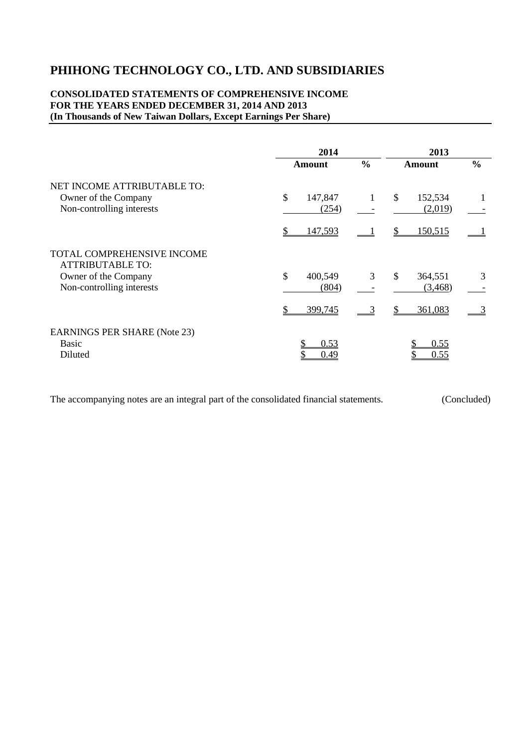# **CONSOLIDATED STATEMENTS OF COMPREHENSIVE INCOME FOR THE YEARS ENDED DECEMBER 31, 2014 AND 2013 (In Thousands of New Taiwan Dollars, Except Earnings Per Share)**

|                                                                                  | 2014                   |               |                          |               |
|----------------------------------------------------------------------------------|------------------------|---------------|--------------------------|---------------|
|                                                                                  | <b>Amount</b>          | $\frac{0}{0}$ | <b>Amount</b>            | $\frac{6}{6}$ |
| NET INCOME ATTRIBUTABLE TO:<br>Owner of the Company<br>Non-controlling interests | \$<br>147,847<br>(254) | 1             | \$<br>152,534<br>(2,019) |               |
|                                                                                  | \$<br>147,593          |               | 150,515<br>S             |               |
| <b>TOTAL COMPREHENSIVE INCOME</b><br><b>ATTRIBUTABLE TO:</b>                     |                        |               |                          |               |
| Owner of the Company                                                             | \$<br>400,549          | 3             | \$<br>364,551            | 3             |
| Non-controlling interests                                                        | (804)                  |               | (3,468)                  |               |
|                                                                                  | 399,745                |               | 361,083                  |               |
| <b>EARNINGS PER SHARE (Note 23)</b>                                              |                        |               |                          |               |
| <b>Basic</b>                                                                     | 0.53                   |               | 0.55                     |               |
| Diluted                                                                          | 0.49                   |               | 0.55                     |               |

The accompanying notes are an integral part of the consolidated financial statements. (Concluded)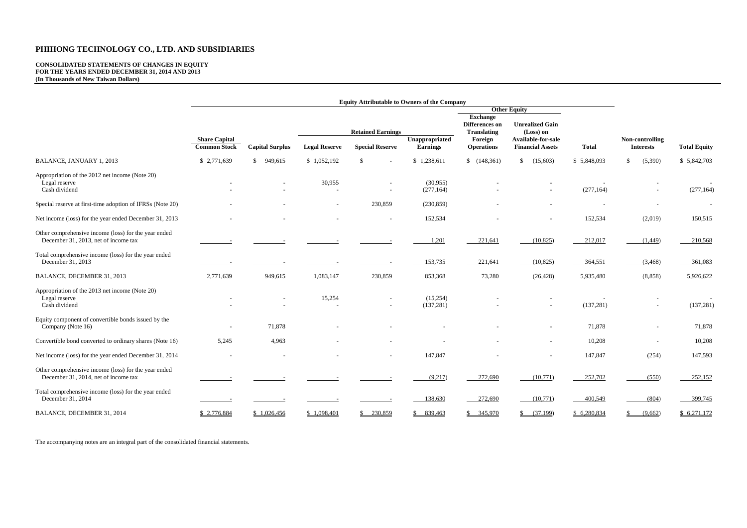# **CONSOLIDATED STATEMENTS OF CHANGES IN EQUITY FOR THE YEARS ENDED DECEMBER 31, 2014 AND 2013 (In Thousands of New Taiwan Dollars)**

|                                                                                              | <b>Equity Attributable to Owners of the Company</b> |                        |                      |                          |                                   |                              |                                               |              |                                     |                     |                                                                |                                     |  |  |  |
|----------------------------------------------------------------------------------------------|-----------------------------------------------------|------------------------|----------------------|--------------------------|-----------------------------------|------------------------------|-----------------------------------------------|--------------|-------------------------------------|---------------------|----------------------------------------------------------------|-------------------------------------|--|--|--|
|                                                                                              |                                                     |                        |                      |                          |                                   |                              | <b>Other Equity</b>                           |              |                                     |                     |                                                                |                                     |  |  |  |
|                                                                                              | <b>Share Capital</b><br><b>Common Stock</b>         |                        |                      |                          |                                   |                              |                                               |              | <b>Retained Earnings</b>            |                     | <b>Exchange</b><br><b>Differences</b> on<br><b>Translating</b> | <b>Unrealized Gain</b><br>(Loss) on |  |  |  |
|                                                                                              |                                                     | <b>Capital Surplus</b> | <b>Legal Reserve</b> | <b>Special Reserve</b>   | Unappropriated<br><b>Earnings</b> | Foreign<br><b>Operations</b> | Available-for-sale<br><b>Financial Assets</b> | <b>Total</b> | Non-controlling<br><b>Interests</b> | <b>Total Equity</b> |                                                                |                                     |  |  |  |
| BALANCE, JANUARY 1, 2013                                                                     | \$2,771,639                                         | \$949,615              | \$1,052,192          | $\mathcal{S}$            | \$1,238,611                       | (148, 361)                   | \$<br>(15,603)                                | \$5,848,093  | \$<br>(5,390)                       | \$5,842,703         |                                                                |                                     |  |  |  |
| Appropriation of the 2012 net income (Note 20)<br>Legal reserve<br>Cash dividend             |                                                     |                        | 30,955               | $\sim$<br>$\blacksquare$ | (30,955)<br>(277, 164)            |                              | $\blacksquare$                                | (277, 164)   | $\overline{\phantom{a}}$            | (277, 164)          |                                                                |                                     |  |  |  |
| Special reserve at first-time adoption of IFRSs (Note 20)                                    |                                                     |                        |                      | 230,859                  | (230, 859)                        |                              |                                               |              | $\blacksquare$                      | $\sim$              |                                                                |                                     |  |  |  |
| Net income (loss) for the year ended December 31, 2013                                       |                                                     |                        |                      |                          | 152,534                           |                              |                                               | 152,534      | (2,019)                             | 150,515             |                                                                |                                     |  |  |  |
| Other comprehensive income (loss) for the year ended<br>December 31, 2013, net of income tax |                                                     |                        |                      |                          | 1,201                             | 221,641                      | (10, 825)                                     | 212,017      | (1,449)                             | 210,568             |                                                                |                                     |  |  |  |
| Total comprehensive income (loss) for the year ended<br>December 31, 2013                    |                                                     |                        |                      |                          | 153,735                           | 221,641                      | (10, 825)                                     | 364,551      | (3,468)                             | 361,083             |                                                                |                                     |  |  |  |
| BALANCE, DECEMBER 31, 2013                                                                   | 2,771,639                                           | 949,615                | 1,083,147            | 230,859                  | 853,368                           | 73,280                       | (26, 428)                                     | 5,935,480    | (8, 858)                            | 5,926,622           |                                                                |                                     |  |  |  |
| Appropriation of the 2013 net income (Note 20)<br>Legal reserve<br>Cash dividend             |                                                     |                        | 15,254               |                          | (15,254)<br>(137, 281)            |                              |                                               | (137, 281)   | $\overline{\phantom{a}}$            | (137, 281)          |                                                                |                                     |  |  |  |
| Equity component of convertible bonds issued by the<br>Company (Note 16)                     |                                                     | 71,878                 |                      |                          |                                   |                              |                                               | 71,878       | $\overline{\phantom{a}}$            | 71,878              |                                                                |                                     |  |  |  |
| Convertible bond converted to ordinary shares (Note 16)                                      | 5,245                                               | 4,963                  |                      |                          |                                   |                              |                                               | 10,208       |                                     | 10,208              |                                                                |                                     |  |  |  |
| Net income (loss) for the year ended December 31, 2014                                       |                                                     |                        |                      |                          | 147,847                           |                              |                                               | 147,847      | (254)                               | 147,593             |                                                                |                                     |  |  |  |
| Other comprehensive income (loss) for the year ended<br>December 31, 2014, net of income tax |                                                     |                        |                      |                          | (9,217)                           | 272,690                      | (10,771)                                      | 252,702      | (550)                               | 252,152             |                                                                |                                     |  |  |  |
| Total comprehensive income (loss) for the year ended<br>December 31, 2014                    |                                                     |                        |                      |                          | 138,630                           | 272,690                      | (10,771)                                      | 400,549      | (804)                               | 399,745             |                                                                |                                     |  |  |  |
| BALANCE, DECEMBER 31, 2014                                                                   | \$2,776,884                                         | \$1,026,456            | \$1,098,401          | 230,859<br>S.            | \$839,463                         | 345,970<br>\$                | (37,199)<br>\$                                | \$6,280,834  | (9,662)                             | \$6,271,172         |                                                                |                                     |  |  |  |

The accompanying notes are an integral part of the consolidated financial statements.

| <b>Total</b>    | <b>Non-controlling</b><br><b>Interests</b> | <b>Total Equity</b> |  |  |
|-----------------|--------------------------------------------|---------------------|--|--|
| \$<br>5,848,093 | \$<br>(5,390)                              | \$5,842,703         |  |  |
| (277, 164)      |                                            | (277, 164)          |  |  |
|                 |                                            |                     |  |  |
| 152,534         | (2,019)                                    | 150,515             |  |  |
| 212,017         | (1,449)                                    | 210,568             |  |  |
| 364,551         | (3, 468)                                   | 361,083             |  |  |
| 5,935,480       | (8, 858)                                   | 5,926,622           |  |  |
| (137, 281)      |                                            | (137, 281)          |  |  |
| 71,878          |                                            | 71,878              |  |  |
| 10,208          |                                            | 10,208              |  |  |
| 147,847         | (254)                                      | 147,593             |  |  |
| 252,702         | (550)                                      | 252,152             |  |  |
| 400,549         | (804)                                      | 399,745             |  |  |
| \$6,280,834     | \$<br>(9,662)                              | \$ 6,271,172        |  |  |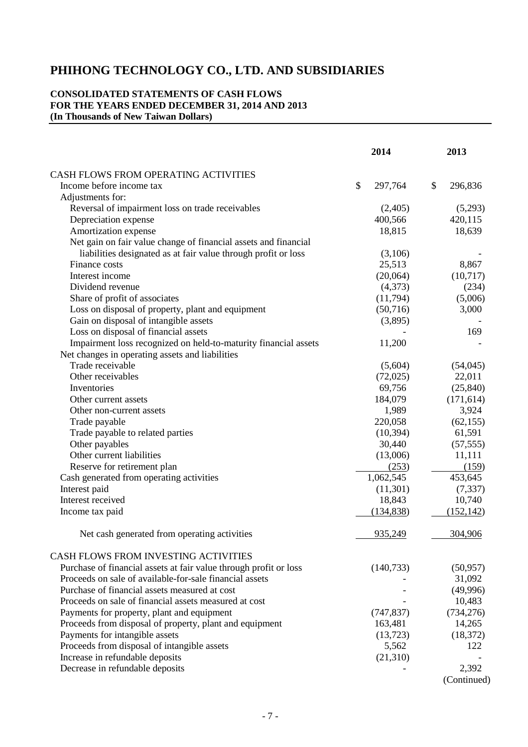# **CONSOLIDATED STATEMENTS OF CASH FLOWS FOR THE YEARS ENDED DECEMBER 31, 2014 AND 2013 (In Thousands of New Taiwan Dollars)**

|                                                                   | 2014          | 2013          |
|-------------------------------------------------------------------|---------------|---------------|
| CASH FLOWS FROM OPERATING ACTIVITIES                              |               |               |
| Income before income tax                                          | \$<br>297,764 | \$<br>296,836 |
| Adjustments for:                                                  |               |               |
| Reversal of impairment loss on trade receivables                  | (2,405)       | (5,293)       |
| Depreciation expense                                              | 400,566       | 420,115       |
| Amortization expense                                              | 18,815        | 18,639        |
| Net gain on fair value change of financial assets and financial   |               |               |
| liabilities designated as at fair value through profit or loss    | (3,106)       |               |
| Finance costs                                                     | 25,513        | 8,867         |
| Interest income                                                   | (20,064)      | (10, 717)     |
| Dividend revenue                                                  | (4,373)       | (234)         |
| Share of profit of associates                                     | (11,794)      | (5,006)       |
| Loss on disposal of property, plant and equipment                 | (50,716)      | 3,000         |
| Gain on disposal of intangible assets                             | (3,895)       |               |
| Loss on disposal of financial assets                              |               | 169           |
| Impairment loss recognized on held-to-maturity financial assets   | 11,200        |               |
| Net changes in operating assets and liabilities                   |               |               |
| Trade receivable                                                  | (5,604)       | (54,045)      |
| Other receivables                                                 | (72,025)      | 22,011        |
| Inventories                                                       | 69,756        | (25, 840)     |
| Other current assets                                              | 184,079       | (171, 614)    |
| Other non-current assets                                          | 1,989         | 3,924         |
| Trade payable                                                     | 220,058       | (62, 155)     |
| Trade payable to related parties                                  | (10, 394)     | 61,591        |
| Other payables                                                    | 30,440        | (57, 555)     |
| Other current liabilities                                         | (13,006)      | 11,111        |
| Reserve for retirement plan                                       | (253)         | (159)         |
| Cash generated from operating activities                          | 1,062,545     | 453,645       |
| Interest paid                                                     | (11,301)      | (7, 337)      |
| Interest received                                                 | 18,843        | 10,740        |
| Income tax paid                                                   | (134, 838)    | (152, 142)    |
|                                                                   |               |               |
| Net cash generated from operating activities                      | 935,249       | 304,906       |
| CASH FLOWS FROM INVESTING ACTIVITIES                              |               |               |
| Purchase of financial assets at fair value through profit or loss | (140, 733)    | (50, 957)     |
| Proceeds on sale of available-for-sale financial assets           |               | 31,092        |
| Purchase of financial assets measured at cost                     |               | (49,996)      |
| Proceeds on sale of financial assets measured at cost             |               | 10,483        |
| Payments for property, plant and equipment                        | (747, 837)    | (734, 276)    |
| Proceeds from disposal of property, plant and equipment           | 163,481       | 14,265        |
| Payments for intangible assets                                    | (13, 723)     | (18, 372)     |
| Proceeds from disposal of intangible assets                       | 5,562         | 122           |
| Increase in refundable deposits                                   | (21,310)      |               |
| Decrease in refundable deposits                                   |               | 2,392         |
|                                                                   |               | (Continued)   |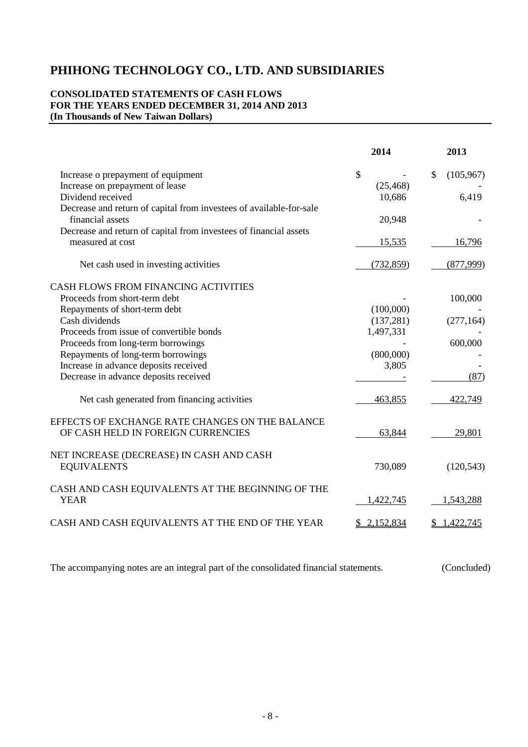# **CONSOLIDATED STATEMENTS OF CASH FLOWS FOR THE YEARS ENDED DECEMBER 31, 2014 AND 2013 (In Thousands of New Taiwan Dollars)**

|                                                                                         | 2014          | 2013             |
|-----------------------------------------------------------------------------------------|---------------|------------------|
| Increase o prepayment of equipment                                                      | $\mathcal{S}$ | \$<br>(105, 967) |
| Increase on prepayment of lease                                                         | (25, 468)     |                  |
| Dividend received                                                                       | 10,686        | 6,419            |
| Decrease and return of capital from investees of available-for-sale<br>financial assets | 20,948        |                  |
| Decrease and return of capital from investees of financial assets                       |               |                  |
| measured at cost                                                                        | 15,535        | 16,796           |
| Net cash used in investing activities                                                   | (732, 859)    | (877,999)        |
| CASH FLOWS FROM FINANCING ACTIVITIES                                                    |               |                  |
| Proceeds from short-term debt                                                           |               | 100,000          |
| Repayments of short-term debt                                                           | (100,000)     |                  |
| Cash dividends                                                                          | (137, 281)    | (277, 164)       |
| Proceeds from issue of convertible bonds                                                | 1,497,331     |                  |
| Proceeds from long-term borrowings                                                      |               | 600,000          |
| Repayments of long-term borrowings                                                      | (800,000)     |                  |
| Increase in advance deposits received                                                   | 3,805         |                  |
| Decrease in advance deposits received                                                   |               | (87)             |
| Net cash generated from financing activities                                            | 463,855       | 422,749          |
| EFFECTS OF EXCHANGE RATE CHANGES ON THE BALANCE                                         |               |                  |
| OF CASH HELD IN FOREIGN CURRENCIES                                                      | 63,844        | 29,801           |
| NET INCREASE (DECREASE) IN CASH AND CASH                                                |               |                  |
| <b>EQUIVALENTS</b>                                                                      | 730,089       | (120, 543)       |
| CASH AND CASH EQUIVALENTS AT THE BEGINNING OF THE                                       |               |                  |
| <b>YEAR</b>                                                                             | 1,422,745     | 1,543,288        |
| CASH AND CASH EQUIVALENTS AT THE END OF THE YEAR                                        | 2,152,834     | 1,422,745        |
|                                                                                         |               |                  |

The accompanying notes are an integral part of the consolidated financial statements. (Concluded)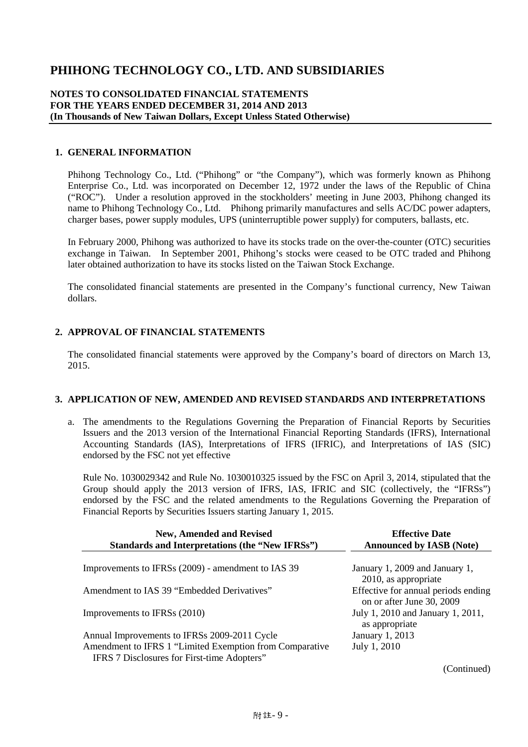### **NOTES TO CONSOLIDATED FINANCIAL STATEMENTS FOR THE YEARS ENDED DECEMBER 31, 2014 AND 2013 (In Thousands of New Taiwan Dollars, Except Unless Stated Otherwise)**

#### **1. GENERAL INFORMATION**

Phihong Technology Co., Ltd. ("Phihong" or "the Company"), which was formerly known as Phihong Enterprise Co., Ltd. was incorporated on December 12, 1972 under the laws of the Republic of China ("ROC"). Under a resolution approved in the stockholders' meeting in June 2003, Phihong changed its name to Phihong Technology Co., Ltd. Phihong primarily manufactures and sells AC/DC power adapters, charger bases, power supply modules, UPS (uninterruptible power supply) for computers, ballasts, etc.

In February 2000, Phihong was authorized to have its stocks trade on the over-the-counter (OTC) securities exchange in Taiwan. In September 2001, Phihong's stocks were ceased to be OTC traded and Phihong later obtained authorization to have its stocks listed on the Taiwan Stock Exchange.

The consolidated financial statements are presented in the Company's functional currency, New Taiwan dollars.

## **2. APPROVAL OF FINANCIAL STATEMENTS**

The consolidated financial statements were approved by the Company's board of directors on March 13, 2015.

## **3. APPLICATION OF NEW, AMENDED AND REVISED STANDARDS AND INTERPRETATIONS**

a. The amendments to the Regulations Governing the Preparation of Financial Reports by Securities Issuers and the 2013 version of the International Financial Reporting Standards (IFRS), International Accounting Standards (IAS), Interpretations of IFRS (IFRIC), and Interpretations of IAS (SIC) endorsed by the FSC not yet effective

Rule No. 1030029342 and Rule No. 1030010325 issued by the FSC on April 3, 2014, stipulated that the Group should apply the 2013 version of IFRS, IAS, IFRIC and SIC (collectively, the "IFRSs") endorsed by the FSC and the related amendments to the Regulations Governing the Preparation of Financial Reports by Securities Issuers starting January 1, 2015.

| <b>New, Amended and Revised</b><br>Standards and Interpretations (the "New IFRSs")                     | <b>Effective Date</b><br><b>Announced by IASB (Note)</b>         |
|--------------------------------------------------------------------------------------------------------|------------------------------------------------------------------|
|                                                                                                        |                                                                  |
| Improvements to IFRSs (2009) - amendment to IAS 39                                                     | January 1, 2009 and January 1,<br>2010, as appropriate           |
| Amendment to IAS 39 "Embedded Derivatives"                                                             | Effective for annual periods ending<br>on or after June 30, 2009 |
| Improvements to IFRSs (2010)                                                                           | July 1, 2010 and January 1, 2011,<br>as appropriate              |
| Annual Improvements to IFRSs 2009-2011 Cycle                                                           | January 1, 2013                                                  |
| Amendment to IFRS 1 "Limited Exemption from Comparative<br>IFRS 7 Disclosures for First-time Adopters" | July 1, 2010                                                     |
|                                                                                                        |                                                                  |

(Continued)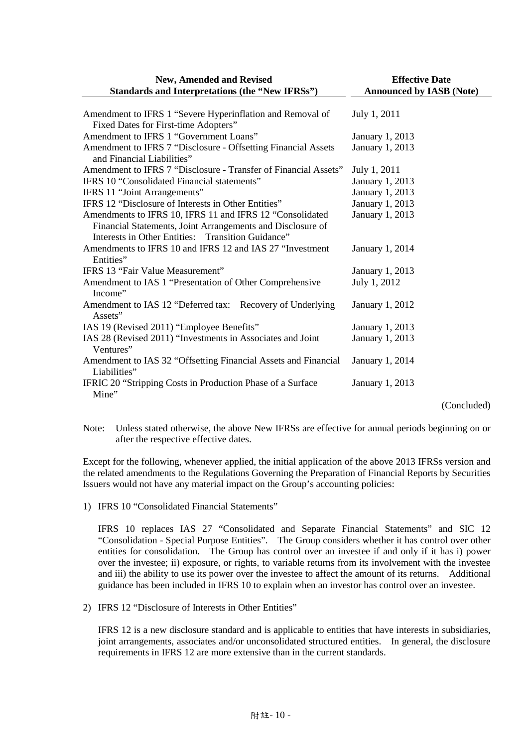| <b>New, Amended and Revised</b>                                                                                 | <b>Effective Date</b>           |  |  |  |
|-----------------------------------------------------------------------------------------------------------------|---------------------------------|--|--|--|
| <b>Standards and Interpretations (the "New IFRSs")</b>                                                          | <b>Announced by IASB (Note)</b> |  |  |  |
| Amendment to IFRS 1 "Severe Hyperinflation and Removal of<br>Fixed Dates for First-time Adopters"               | July 1, 2011                    |  |  |  |
| Amendment to IFRS 1 "Government Loans"                                                                          | January 1, 2013                 |  |  |  |
| Amendment to IFRS 7 "Disclosure - Offsetting Financial Assets<br>and Financial Liabilities"                     | January 1, 2013                 |  |  |  |
| Amendment to IFRS 7 "Disclosure - Transfer of Financial Assets"                                                 | July 1, 2011                    |  |  |  |
| IFRS 10 "Consolidated Financial statements"                                                                     | January 1, 2013                 |  |  |  |
| IFRS 11 "Joint Arrangements"                                                                                    | January 1, 2013                 |  |  |  |
| IFRS 12 "Disclosure of Interests in Other Entities"                                                             | January 1, 2013                 |  |  |  |
| Amendments to IFRS 10, IFRS 11 and IFRS 12 "Consolidated                                                        | January 1, 2013                 |  |  |  |
| Financial Statements, Joint Arrangements and Disclosure of<br>Interests in Other Entities: Transition Guidance" |                                 |  |  |  |
| Amendments to IFRS 10 and IFRS 12 and IAS 27 "Investment<br>Entities"                                           | January 1, 2014                 |  |  |  |
| IFRS 13 "Fair Value Measurement"                                                                                | January 1, 2013                 |  |  |  |
| Amendment to IAS 1 "Presentation of Other Comprehensive<br>Income"                                              | July 1, 2012                    |  |  |  |
| Amendment to IAS 12 "Deferred tax: Recovery of Underlying<br>Assets"                                            | January 1, 2012                 |  |  |  |
| IAS 19 (Revised 2011) "Employee Benefits"                                                                       | January 1, 2013                 |  |  |  |
| IAS 28 (Revised 2011) "Investments in Associates and Joint<br>Ventures"                                         | January 1, 2013                 |  |  |  |
| Amendment to IAS 32 "Offsetting Financial Assets and Financial<br>Liabilities"                                  | January 1, 2014                 |  |  |  |
| IFRIC 20 "Stripping Costs in Production Phase of a Surface<br>Mine"                                             | January 1, 2013                 |  |  |  |
|                                                                                                                 | (Concluded)                     |  |  |  |

Note: Unless stated otherwise, the above New IFRSs are effective for annual periods beginning on or after the respective effective dates.

Except for the following, whenever applied, the initial application of the above 2013 IFRSs version and the related amendments to the Regulations Governing the Preparation of Financial Reports by Securities Issuers would not have any material impact on the Group's accounting policies:

1) IFRS 10 "Consolidated Financial Statements"

IFRS 10 replaces IAS 27 "Consolidated and Separate Financial Statements" and SIC 12 "Consolidation - Special Purpose Entities". The Group considers whether it has control over other entities for consolidation. The Group has control over an investee if and only if it has i) power over the investee; ii) exposure, or rights, to variable returns from its involvement with the investee and iii) the ability to use its power over the investee to affect the amount of its returns. Additional guidance has been included in IFRS 10 to explain when an investor has control over an investee.

2) IFRS 12 "Disclosure of Interests in Other Entities"

IFRS 12 is a new disclosure standard and is applicable to entities that have interests in subsidiaries, joint arrangements, associates and/or unconsolidated structured entities. In general, the disclosure requirements in IFRS 12 are more extensive than in the current standards.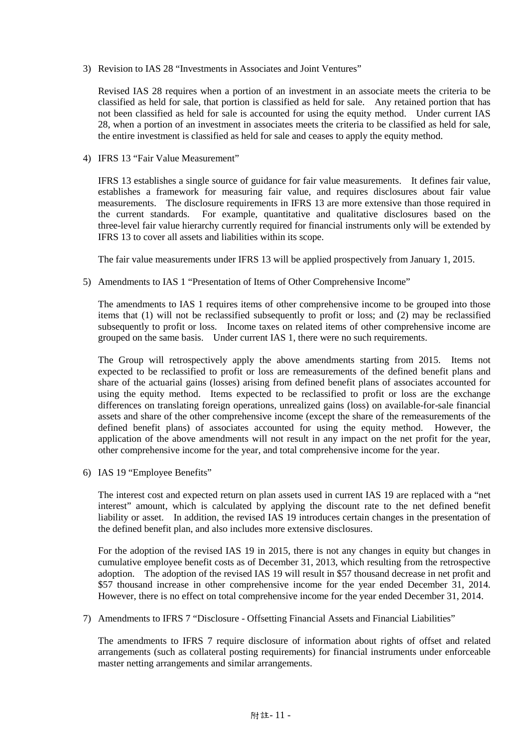3) Revision to IAS 28 "Investments in Associates and Joint Ventures"

Revised IAS 28 requires when a portion of an investment in an associate meets the criteria to be classified as held for sale, that portion is classified as held for sale. Any retained portion that has not been classified as held for sale is accounted for using the equity method. Under current IAS 28, when a portion of an investment in associates meets the criteria to be classified as held for sale, the entire investment is classified as held for sale and ceases to apply the equity method.

4) IFRS 13 "Fair Value Measurement"

IFRS 13 establishes a single source of guidance for fair value measurements. It defines fair value, establishes a framework for measuring fair value, and requires disclosures about fair value measurements. The disclosure requirements in IFRS 13 are more extensive than those required in the current standards. For example, quantitative and qualitative disclosures based on the three-level fair value hierarchy currently required for financial instruments only will be extended by IFRS 13 to cover all assets and liabilities within its scope.

The fair value measurements under IFRS 13 will be applied prospectively from January 1, 2015.

5) Amendments to IAS 1 "Presentation of Items of Other Comprehensive Income"

The amendments to IAS 1 requires items of other comprehensive income to be grouped into those items that (1) will not be reclassified subsequently to profit or loss; and (2) may be reclassified subsequently to profit or loss. Income taxes on related items of other comprehensive income are grouped on the same basis. Under current IAS 1, there were no such requirements.

The Group will retrospectively apply the above amendments starting from 2015. Items not expected to be reclassified to profit or loss are remeasurements of the defined benefit plans and share of the actuarial gains (losses) arising from defined benefit plans of associates accounted for using the equity method. Items expected to be reclassified to profit or loss are the exchange differences on translating foreign operations, unrealized gains (loss) on available-for-sale financial assets and share of the other comprehensive income (except the share of the remeasurements of the defined benefit plans) of associates accounted for using the equity method. However, the application of the above amendments will not result in any impact on the net profit for the year, other comprehensive income for the year, and total comprehensive income for the year.

6) IAS 19 "Employee Benefits"

The interest cost and expected return on plan assets used in current IAS 19 are replaced with a "net interest" amount, which is calculated by applying the discount rate to the net defined benefit liability or asset. In addition, the revised IAS 19 introduces certain changes in the presentation of the defined benefit plan, and also includes more extensive disclosures.

For the adoption of the revised IAS 19 in 2015, there is not any changes in equity but changes in cumulative employee benefit costs as of December 31, 2013, which resulting from the retrospective adoption. The adoption of the revised IAS 19 will result in \$57 thousand decrease in net profit and \$57 thousand increase in other comprehensive income for the year ended December 31, 2014. However, there is no effect on total comprehensive income for the year ended December 31, 2014.

7) Amendments to IFRS 7 "Disclosure - Offsetting Financial Assets and Financial Liabilities"

The amendments to IFRS 7 require disclosure of information about rights of offset and related arrangements (such as collateral posting requirements) for financial instruments under enforceable master netting arrangements and similar arrangements.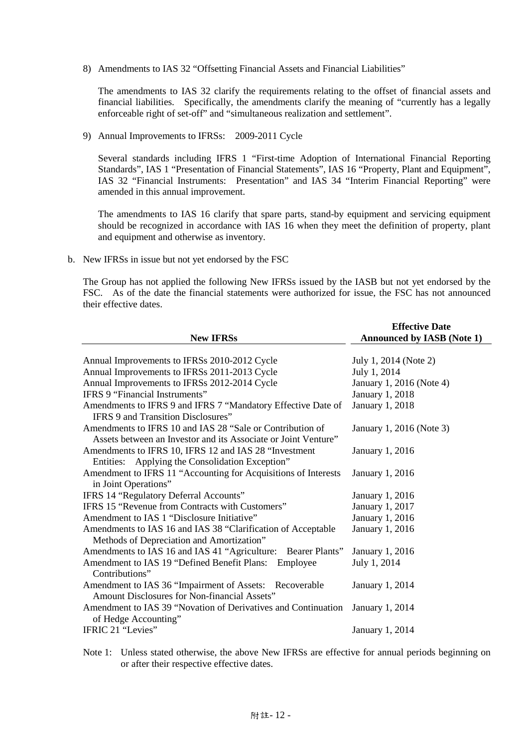8) Amendments to IAS 32 "Offsetting Financial Assets and Financial Liabilities"

The amendments to IAS 32 clarify the requirements relating to the offset of financial assets and financial liabilities. Specifically, the amendments clarify the meaning of "currently has a legally enforceable right of set-off" and "simultaneous realization and settlement".

9) Annual Improvements to IFRSs: 2009-2011 Cycle

Several standards including IFRS 1 "First-time Adoption of International Financial Reporting Standards", IAS 1 "Presentation of Financial Statements", IAS 16 "Property, Plant and Equipment", IAS 32 "Financial Instruments: Presentation" and IAS 34 "Interim Financial Reporting" were amended in this annual improvement.

The amendments to IAS 16 clarify that spare parts, stand-by equipment and servicing equipment should be recognized in accordance with IAS 16 when they meet the definition of property, plant and equipment and otherwise as inventory.

b. New IFRSs in issue but not yet endorsed by the FSC

The Group has not applied the following New IFRSs issued by the IASB but not yet endorsed by the FSC. As of the date the financial statements were authorized for issue, the FSC has not announced their effective dates.

| <b>New IFRSs</b>                                                                                                            | <b>Effective Date</b><br><b>Announced by IASB (Note 1)</b> |
|-----------------------------------------------------------------------------------------------------------------------------|------------------------------------------------------------|
| Annual Improvements to IFRSs 2010-2012 Cycle                                                                                | July 1, 2014 (Note 2)                                      |
| Annual Improvements to IFRSs 2011-2013 Cycle                                                                                | July 1, 2014                                               |
| Annual Improvements to IFRSs 2012-2014 Cycle                                                                                | January 1, 2016 (Note 4)                                   |
| IFRS 9 "Financial Instruments"                                                                                              | January 1, 2018                                            |
| Amendments to IFRS 9 and IFRS 7 "Mandatory Effective Date of                                                                | <b>January 1, 2018</b>                                     |
| <b>IFRS 9 and Transition Disclosures</b> "                                                                                  |                                                            |
| Amendments to IFRS 10 and IAS 28 "Sale or Contribution of<br>Assets between an Investor and its Associate or Joint Venture" | January 1, 2016 (Note 3)                                   |
| Amendments to IFRS 10, IFRS 12 and IAS 28 "Investment                                                                       | January 1, 2016                                            |
| Entities: Applying the Consolidation Exception"                                                                             |                                                            |
| Amendment to IFRS 11 "Accounting for Acquisitions of Interests<br>in Joint Operations"                                      | January 1, 2016                                            |
| IFRS 14 "Regulatory Deferral Accounts"                                                                                      | January 1, 2016                                            |
| <b>IFRS 15 "Revenue from Contracts with Customers"</b>                                                                      | January 1, 2017                                            |
| Amendment to IAS 1 "Disclosure Initiative"                                                                                  | January 1, 2016                                            |
| Amendments to IAS 16 and IAS 38 "Clarification of Acceptable<br>Methods of Depreciation and Amortization"                   | January 1, 2016                                            |
| Amendments to IAS 16 and IAS 41 "Agriculture:<br>Bearer Plants"                                                             | January 1, 2016                                            |
| Amendment to IAS 19 "Defined Benefit Plans:<br>Employee<br>Contributions"                                                   | July 1, 2014                                               |
| Amendment to IAS 36 "Impairment of Assets: Recoverable<br>Amount Disclosures for Non-financial Assets"                      | January 1, 2014                                            |
| Amendment to IAS 39 "Novation of Derivatives and Continuation<br>of Hedge Accounting"                                       | January 1, 2014                                            |
| IFRIC 21 "Levies"                                                                                                           | January 1, 2014                                            |

Note 1: Unless stated otherwise, the above New IFRSs are effective for annual periods beginning on or after their respective effective dates.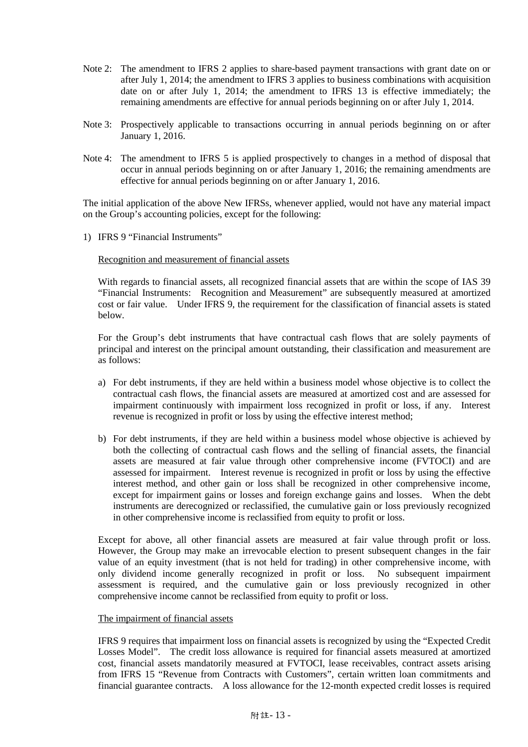- Note 2: The amendment to IFRS 2 applies to share-based payment transactions with grant date on or after July 1, 2014; the amendment to IFRS 3 applies to business combinations with acquisition date on or after July 1, 2014; the amendment to IFRS 13 is effective immediately; the remaining amendments are effective for annual periods beginning on or after July 1, 2014.
- Note 3: Prospectively applicable to transactions occurring in annual periods beginning on or after January 1, 2016.
- Note 4: The amendment to IFRS 5 is applied prospectively to changes in a method of disposal that occur in annual periods beginning on or after January 1, 2016; the remaining amendments are effective for annual periods beginning on or after January 1, 2016.

The initial application of the above New IFRSs, whenever applied, would not have any material impact on the Group's accounting policies, except for the following:

1) IFRS 9 "Financial Instruments"

Recognition and measurement of financial assets

With regards to financial assets, all recognized financial assets that are within the scope of IAS 39 "Financial Instruments: Recognition and Measurement" are subsequently measured at amortized cost or fair value. Under IFRS 9, the requirement for the classification of financial assets is stated below.

For the Group's debt instruments that have contractual cash flows that are solely payments of principal and interest on the principal amount outstanding, their classification and measurement are as follows:

- a) For debt instruments, if they are held within a business model whose objective is to collect the contractual cash flows, the financial assets are measured at amortized cost and are assessed for impairment continuously with impairment loss recognized in profit or loss, if any. Interest revenue is recognized in profit or loss by using the effective interest method;
- b) For debt instruments, if they are held within a business model whose objective is achieved by both the collecting of contractual cash flows and the selling of financial assets, the financial assets are measured at fair value through other comprehensive income (FVTOCI) and are assessed for impairment. Interest revenue is recognized in profit or loss by using the effective interest method, and other gain or loss shall be recognized in other comprehensive income, except for impairment gains or losses and foreign exchange gains and losses. When the debt instruments are derecognized or reclassified, the cumulative gain or loss previously recognized in other comprehensive income is reclassified from equity to profit or loss.

Except for above, all other financial assets are measured at fair value through profit or loss. However, the Group may make an irrevocable election to present subsequent changes in the fair value of an equity investment (that is not held for trading) in other comprehensive income, with only dividend income generally recognized in profit or loss. No subsequent impairment assessment is required, and the cumulative gain or loss previously recognized in other comprehensive income cannot be reclassified from equity to profit or loss.

#### The impairment of financial assets

IFRS 9 requires that impairment loss on financial assets is recognized by using the "Expected Credit Losses Model". The credit loss allowance is required for financial assets measured at amortized cost, financial assets mandatorily measured at FVTOCI, lease receivables, contract assets arising from IFRS 15 "Revenue from Contracts with Customers", certain written loan commitments and financial guarantee contracts. A loss allowance for the 12-month expected credit losses is required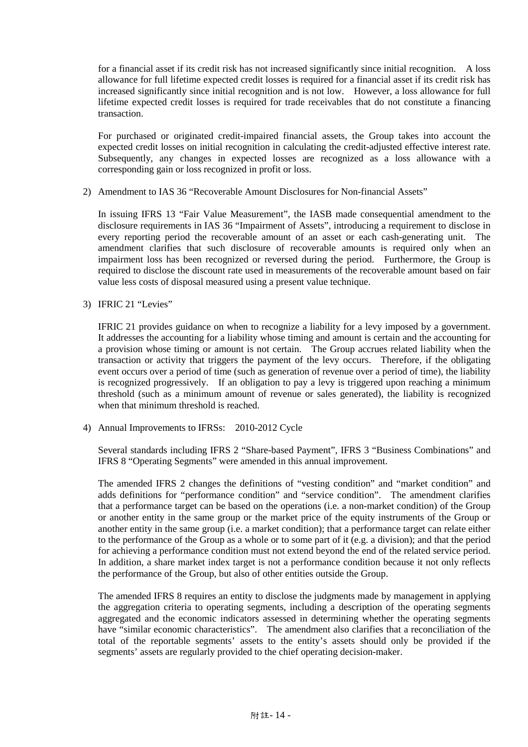for a financial asset if its credit risk has not increased significantly since initial recognition. A loss allowance for full lifetime expected credit losses is required for a financial asset if its credit risk has increased significantly since initial recognition and is not low. However, a loss allowance for full lifetime expected credit losses is required for trade receivables that do not constitute a financing transaction.

For purchased or originated credit-impaired financial assets, the Group takes into account the expected credit losses on initial recognition in calculating the credit-adjusted effective interest rate. Subsequently, any changes in expected losses are recognized as a loss allowance with a corresponding gain or loss recognized in profit or loss.

2) Amendment to IAS 36 "Recoverable Amount Disclosures for Non-financial Assets"

In issuing IFRS 13 "Fair Value Measurement", the IASB made consequential amendment to the disclosure requirements in IAS 36 "Impairment of Assets", introducing a requirement to disclose in every reporting period the recoverable amount of an asset or each cash-generating unit. The amendment clarifies that such disclosure of recoverable amounts is required only when an impairment loss has been recognized or reversed during the period. Furthermore, the Group is required to disclose the discount rate used in measurements of the recoverable amount based on fair value less costs of disposal measured using a present value technique.

3) IFRIC 21 "Levies"

IFRIC 21 provides guidance on when to recognize a liability for a levy imposed by a government. It addresses the accounting for a liability whose timing and amount is certain and the accounting for a provision whose timing or amount is not certain. The Group accrues related liability when the transaction or activity that triggers the payment of the levy occurs. Therefore, if the obligating event occurs over a period of time (such as generation of revenue over a period of time), the liability is recognized progressively. If an obligation to pay a levy is triggered upon reaching a minimum threshold (such as a minimum amount of revenue or sales generated), the liability is recognized when that minimum threshold is reached.

4) Annual Improvements to IFRSs: 2010-2012 Cycle

Several standards including IFRS 2 "Share-based Payment", IFRS 3 "Business Combinations" and IFRS 8 "Operating Segments" were amended in this annual improvement.

The amended IFRS 2 changes the definitions of "vesting condition" and "market condition" and adds definitions for "performance condition" and "service condition". The amendment clarifies that a performance target can be based on the operations (i.e. a non-market condition) of the Group or another entity in the same group or the market price of the equity instruments of the Group or another entity in the same group (i.e. a market condition); that a performance target can relate either to the performance of the Group as a whole or to some part of it (e.g. a division); and that the period for achieving a performance condition must not extend beyond the end of the related service period. In addition, a share market index target is not a performance condition because it not only reflects the performance of the Group, but also of other entities outside the Group.

The amended IFRS 8 requires an entity to disclose the judgments made by management in applying the aggregation criteria to operating segments, including a description of the operating segments aggregated and the economic indicators assessed in determining whether the operating segments have "similar economic characteristics". The amendment also clarifies that a reconciliation of the total of the reportable segments' assets to the entity's assets should only be provided if the segments' assets are regularly provided to the chief operating decision-maker.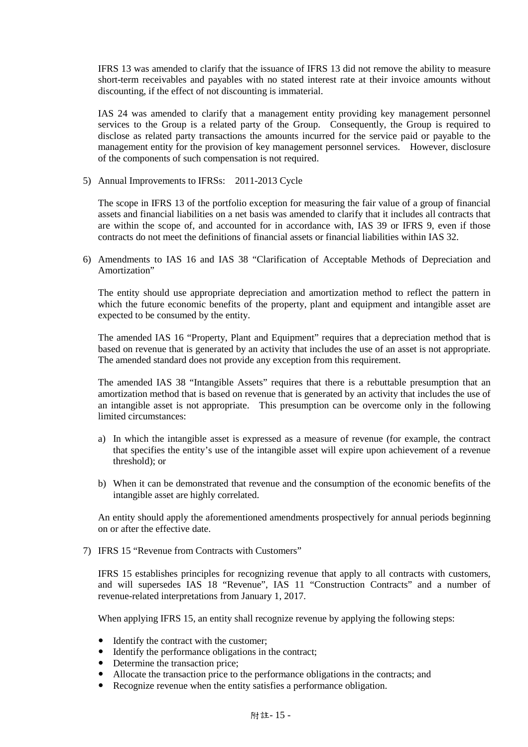IFRS 13 was amended to clarify that the issuance of IFRS 13 did not remove the ability to measure short-term receivables and payables with no stated interest rate at their invoice amounts without discounting, if the effect of not discounting is immaterial.

IAS 24 was amended to clarify that a management entity providing key management personnel services to the Group is a related party of the Group. Consequently, the Group is required to disclose as related party transactions the amounts incurred for the service paid or payable to the management entity for the provision of key management personnel services. However, disclosure of the components of such compensation is not required.

5) Annual Improvements to IFRSs: 2011-2013 Cycle

The scope in IFRS 13 of the portfolio exception for measuring the fair value of a group of financial assets and financial liabilities on a net basis was amended to clarify that it includes all contracts that are within the scope of, and accounted for in accordance with, IAS 39 or IFRS 9, even if those contracts do not meet the definitions of financial assets or financial liabilities within IAS 32.

6) Amendments to IAS 16 and IAS 38 "Clarification of Acceptable Methods of Depreciation and Amortization"

The entity should use appropriate depreciation and amortization method to reflect the pattern in which the future economic benefits of the property, plant and equipment and intangible asset are expected to be consumed by the entity.

The amended IAS 16 "Property, Plant and Equipment" requires that a depreciation method that is based on revenue that is generated by an activity that includes the use of an asset is not appropriate. The amended standard does not provide any exception from this requirement.

The amended IAS 38 "Intangible Assets" requires that there is a rebuttable presumption that an amortization method that is based on revenue that is generated by an activity that includes the use of an intangible asset is not appropriate. This presumption can be overcome only in the following limited circumstances:

- a) In which the intangible asset is expressed as a measure of revenue (for example, the contract that specifies the entity's use of the intangible asset will expire upon achievement of a revenue threshold); or
- b) When it can be demonstrated that revenue and the consumption of the economic benefits of the intangible asset are highly correlated.

An entity should apply the aforementioned amendments prospectively for annual periods beginning on or after the effective date.

7) IFRS 15 "Revenue from Contracts with Customers"

IFRS 15 establishes principles for recognizing revenue that apply to all contracts with customers, and will supersedes IAS 18 "Revenue", IAS 11 "Construction Contracts" and a number of revenue-related interpretations from January 1, 2017.

When applying IFRS 15, an entity shall recognize revenue by applying the following steps:

- Identify the contract with the customer;
- Identify the performance obligations in the contract;
- Determine the transaction price;
- Allocate the transaction price to the performance obligations in the contracts; and
- Recognize revenue when the entity satisfies a performance obligation.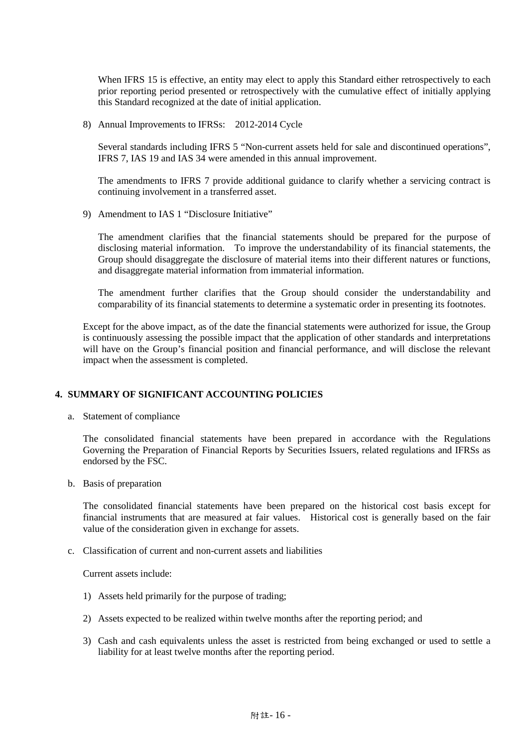When IFRS 15 is effective, an entity may elect to apply this Standard either retrospectively to each prior reporting period presented or retrospectively with the cumulative effect of initially applying this Standard recognized at the date of initial application.

8) Annual Improvements to IFRSs: 2012-2014 Cycle

Several standards including IFRS 5 "Non-current assets held for sale and discontinued operations", IFRS 7, IAS 19 and IAS 34 were amended in this annual improvement.

The amendments to IFRS 7 provide additional guidance to clarify whether a servicing contract is continuing involvement in a transferred asset.

9) Amendment to IAS 1 "Disclosure Initiative"

The amendment clarifies that the financial statements should be prepared for the purpose of disclosing material information. To improve the understandability of its financial statements, the Group should disaggregate the disclosure of material items into their different natures or functions, and disaggregate material information from immaterial information.

The amendment further clarifies that the Group should consider the understandability and comparability of its financial statements to determine a systematic order in presenting its footnotes.

Except for the above impact, as of the date the financial statements were authorized for issue, the Group is continuously assessing the possible impact that the application of other standards and interpretations will have on the Group's financial position and financial performance, and will disclose the relevant impact when the assessment is completed.

## **4. SUMMARY OF SIGNIFICANT ACCOUNTING POLICIES**

a. Statement of compliance

The consolidated financial statements have been prepared in accordance with the Regulations Governing the Preparation of Financial Reports by Securities Issuers, related regulations and IFRSs as endorsed by the FSC.

b. Basis of preparation

The consolidated financial statements have been prepared on the historical cost basis except for financial instruments that are measured at fair values. Historical cost is generally based on the fair value of the consideration given in exchange for assets.

c. Classification of current and non-current assets and liabilities

Current assets include:

- 1) Assets held primarily for the purpose of trading;
- 2) Assets expected to be realized within twelve months after the reporting period; and
- 3) Cash and cash equivalents unless the asset is restricted from being exchanged or used to settle a liability for at least twelve months after the reporting period.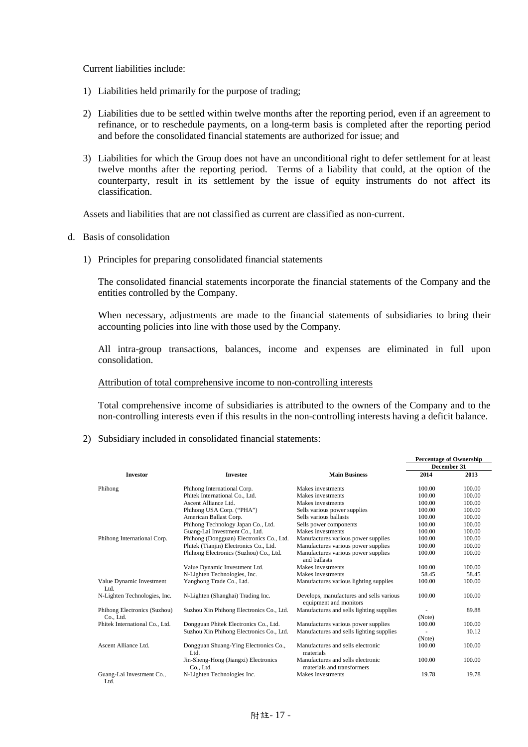Current liabilities include:

- 1) Liabilities held primarily for the purpose of trading;
- 2) Liabilities due to be settled within twelve months after the reporting period, even if an agreement to refinance, or to reschedule payments, on a long-term basis is completed after the reporting period and before the consolidated financial statements are authorized for issue; and
- 3) Liabilities for which the Group does not have an unconditional right to defer settlement for at least twelve months after the reporting period. Terms of a liability that could, at the option of the counterparty, result in its settlement by the issue of equity instruments do not affect its classification.

Assets and liabilities that are not classified as current are classified as non-current.

- d. Basis of consolidation
	- 1) Principles for preparing consolidated financial statements

The consolidated financial statements incorporate the financial statements of the Company and the entities controlled by the Company.

When necessary, adjustments are made to the financial statements of subsidiaries to bring their accounting policies into line with those used by the Company.

All intra-group transactions, balances, income and expenses are eliminated in full upon consolidation.

#### Attribution of total comprehensive income to non-controlling interests

Total comprehensive income of subsidiaries is attributed to the owners of the Company and to the non-controlling interests even if this results in the non-controlling interests having a deficit balance.

2) Subsidiary included in consolidated financial statements:

|                                   |                                                   |                                                                    | <b>Percentage of Ownership</b> |        |  |
|-----------------------------------|---------------------------------------------------|--------------------------------------------------------------------|--------------------------------|--------|--|
|                                   |                                                   |                                                                    | December 31                    |        |  |
| <b>Investor</b>                   | <b>Investee</b>                                   | <b>Main Business</b>                                               | 2014                           | 2013   |  |
| Phihong                           | Phihong International Corp.                       | Makes investments                                                  | 100.00                         | 100.00 |  |
|                                   | Phitek International Co., Ltd.                    | Makes investments                                                  | 100.00                         | 100.00 |  |
|                                   | Ascent Alliance Ltd.                              | Makes investments                                                  | 100.00                         | 100.00 |  |
|                                   | Phihong USA Corp. ("PHA")                         | Sells various power supplies                                       | 100.00                         | 100.00 |  |
|                                   | American Ballast Corp.                            | Sells various ballasts                                             | 100.00                         | 100.00 |  |
|                                   | Phihong Technology Japan Co., Ltd.                | Sells power components                                             | 100.00                         | 100.00 |  |
|                                   | Guang-Lai Investment Co., Ltd.                    | Makes investments                                                  | 100.00                         | 100.00 |  |
| Phihong International Corp.       | Phihong (Dongguan) Electronics Co., Ltd.          | Manufactures various power supplies                                | 100.00                         | 100.00 |  |
|                                   | Phitek (Tianjin) Electronics Co., Ltd.            | Manufactures various power supplies                                | 100.00                         | 100.00 |  |
|                                   | Phihong Electronics (Suzhou) Co., Ltd.            | Manufactures various power supplies<br>and ballasts                | 100.00                         | 100.00 |  |
|                                   | Value Dynamic Investment Ltd.                     | Makes investments                                                  | 100.00                         | 100.00 |  |
|                                   | N-Lighten Technologies, Inc.                      | Makes investments                                                  | 58.45                          | 58.45  |  |
| Value Dynamic Investment<br>Ltd.  | Yanghong Trade Co., Ltd.                          | Manufactures various lighting supplies                             | 100.00                         | 100.00 |  |
| N-Lighten Technologies, Inc.      | N-Lighten (Shanghai) Trading Inc.                 | Develops, manufactures and sells various<br>equipment and monitors | 100.00                         | 100.00 |  |
| Phihong Electronics (Suzhou)      | Suzhou Xin Phihong Electronics Co., Ltd.          | Manufactures and sells lighting supplies                           |                                | 89.88  |  |
| Co., Ltd.                         |                                                   |                                                                    | (Note)                         |        |  |
| Phitek International Co., Ltd.    | Dongguan Phitek Electronics Co., Ltd.             | Manufactures various power supplies                                | 100.00                         | 100.00 |  |
|                                   | Suzhou Xin Phihong Electronics Co., Ltd.          | Manufactures and sells lighting supplies                           |                                | 10.12  |  |
|                                   |                                                   |                                                                    | (Note)                         |        |  |
| Ascent Alliance Ltd.              | Dongguan Shuang-Ying Electronics Co.,<br>Ltd.     | Manufactures and sells electronic<br>materials                     | 100.00                         | 100.00 |  |
|                                   | Jin-Sheng-Hong (Jiangxi) Electronics<br>Co., Ltd. | Manufactures and sells electronic<br>materials and transformers    | 100.00                         | 100.00 |  |
| Guang-Lai Investment Co.,<br>Ltd. | N-Lighten Technologies Inc.                       | Makes investments                                                  | 19.78                          | 19.78  |  |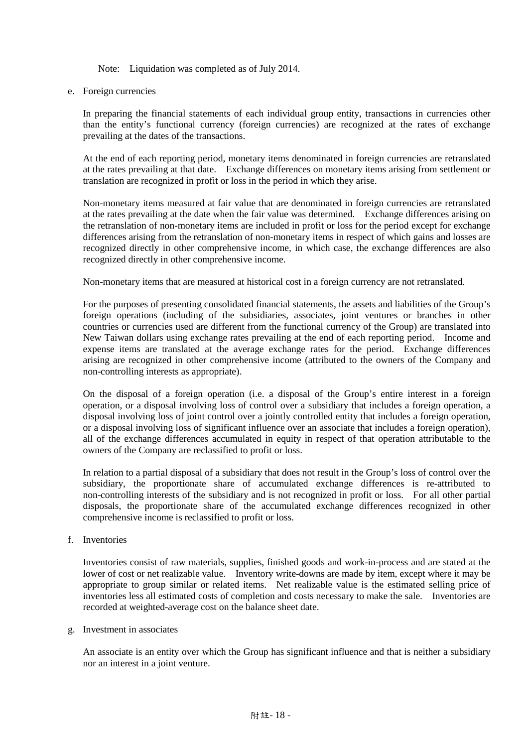Note: Liquidation was completed as of July 2014.

e. Foreign currencies

In preparing the financial statements of each individual group entity, transactions in currencies other than the entity's functional currency (foreign currencies) are recognized at the rates of exchange prevailing at the dates of the transactions.

At the end of each reporting period, monetary items denominated in foreign currencies are retranslated at the rates prevailing at that date. Exchange differences on monetary items arising from settlement or translation are recognized in profit or loss in the period in which they arise.

Non-monetary items measured at fair value that are denominated in foreign currencies are retranslated at the rates prevailing at the date when the fair value was determined. Exchange differences arising on the retranslation of non-monetary items are included in profit or loss for the period except for exchange differences arising from the retranslation of non-monetary items in respect of which gains and losses are recognized directly in other comprehensive income, in which case, the exchange differences are also recognized directly in other comprehensive income.

Non-monetary items that are measured at historical cost in a foreign currency are not retranslated.

For the purposes of presenting consolidated financial statements, the assets and liabilities of the Group's foreign operations (including of the subsidiaries, associates, joint ventures or branches in other countries or currencies used are different from the functional currency of the Group) are translated into New Taiwan dollars using exchange rates prevailing at the end of each reporting period. Income and expense items are translated at the average exchange rates for the period. Exchange differences arising are recognized in other comprehensive income (attributed to the owners of the Company and non-controlling interests as appropriate).

On the disposal of a foreign operation (i.e. a disposal of the Group's entire interest in a foreign operation, or a disposal involving loss of control over a subsidiary that includes a foreign operation, a disposal involving loss of joint control over a jointly controlled entity that includes a foreign operation, or a disposal involving loss of significant influence over an associate that includes a foreign operation), all of the exchange differences accumulated in equity in respect of that operation attributable to the owners of the Company are reclassified to profit or loss.

In relation to a partial disposal of a subsidiary that does not result in the Group's loss of control over the subsidiary, the proportionate share of accumulated exchange differences is re-attributed to non-controlling interests of the subsidiary and is not recognized in profit or loss. For all other partial disposals, the proportionate share of the accumulated exchange differences recognized in other comprehensive income is reclassified to profit or loss.

f. Inventories

Inventories consist of raw materials, supplies, finished goods and work-in-process and are stated at the lower of cost or net realizable value. Inventory write-downs are made by item, except where it may be appropriate to group similar or related items. Net realizable value is the estimated selling price of inventories less all estimated costs of completion and costs necessary to make the sale. Inventories are recorded at weighted-average cost on the balance sheet date.

g. Investment in associates

An associate is an entity over which the Group has significant influence and that is neither a subsidiary nor an interest in a joint venture.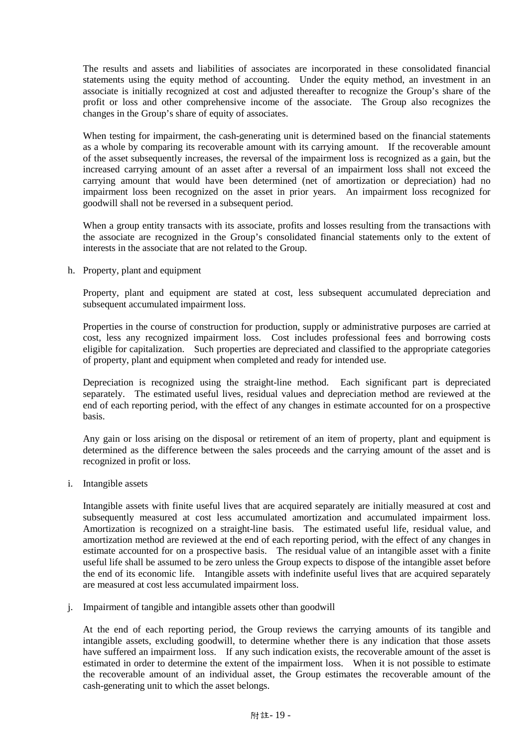The results and assets and liabilities of associates are incorporated in these consolidated financial statements using the equity method of accounting. Under the equity method, an investment in an associate is initially recognized at cost and adjusted thereafter to recognize the Group's share of the profit or loss and other comprehensive income of the associate. The Group also recognizes the changes in the Group's share of equity of associates.

When testing for impairment, the cash-generating unit is determined based on the financial statements as a whole by comparing its recoverable amount with its carrying amount. If the recoverable amount of the asset subsequently increases, the reversal of the impairment loss is recognized as a gain, but the increased carrying amount of an asset after a reversal of an impairment loss shall not exceed the carrying amount that would have been determined (net of amortization or depreciation) had no impairment loss been recognized on the asset in prior years. An impairment loss recognized for goodwill shall not be reversed in a subsequent period.

When a group entity transacts with its associate, profits and losses resulting from the transactions with the associate are recognized in the Group's consolidated financial statements only to the extent of interests in the associate that are not related to the Group.

h. Property, plant and equipment

Property, plant and equipment are stated at cost, less subsequent accumulated depreciation and subsequent accumulated impairment loss.

Properties in the course of construction for production, supply or administrative purposes are carried at cost, less any recognized impairment loss. Cost includes professional fees and borrowing costs eligible for capitalization. Such properties are depreciated and classified to the appropriate categories of property, plant and equipment when completed and ready for intended use.

Depreciation is recognized using the straight-line method. Each significant part is depreciated separately. The estimated useful lives, residual values and depreciation method are reviewed at the end of each reporting period, with the effect of any changes in estimate accounted for on a prospective basis.

Any gain or loss arising on the disposal or retirement of an item of property, plant and equipment is determined as the difference between the sales proceeds and the carrying amount of the asset and is recognized in profit or loss.

i. Intangible assets

Intangible assets with finite useful lives that are acquired separately are initially measured at cost and subsequently measured at cost less accumulated amortization and accumulated impairment loss. Amortization is recognized on a straight-line basis. The estimated useful life, residual value, and amortization method are reviewed at the end of each reporting period, with the effect of any changes in estimate accounted for on a prospective basis. The residual value of an intangible asset with a finite useful life shall be assumed to be zero unless the Group expects to dispose of the intangible asset before the end of its economic life. Intangible assets with indefinite useful lives that are acquired separately are measured at cost less accumulated impairment loss.

j. Impairment of tangible and intangible assets other than goodwill

At the end of each reporting period, the Group reviews the carrying amounts of its tangible and intangible assets, excluding goodwill, to determine whether there is any indication that those assets have suffered an impairment loss. If any such indication exists, the recoverable amount of the asset is estimated in order to determine the extent of the impairment loss. When it is not possible to estimate the recoverable amount of an individual asset, the Group estimates the recoverable amount of the cash-generating unit to which the asset belongs.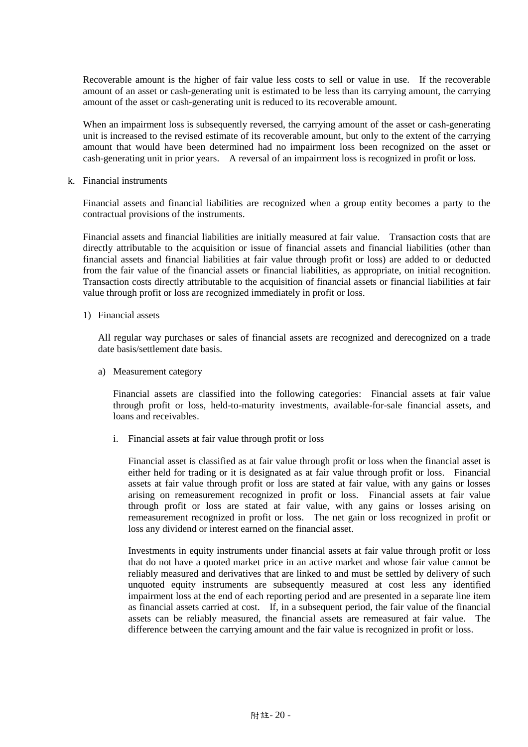Recoverable amount is the higher of fair value less costs to sell or value in use. If the recoverable amount of an asset or cash-generating unit is estimated to be less than its carrying amount, the carrying amount of the asset or cash-generating unit is reduced to its recoverable amount.

When an impairment loss is subsequently reversed, the carrying amount of the asset or cash-generating unit is increased to the revised estimate of its recoverable amount, but only to the extent of the carrying amount that would have been determined had no impairment loss been recognized on the asset or cash-generating unit in prior years. A reversal of an impairment loss is recognized in profit or loss.

k. Financial instruments

Financial assets and financial liabilities are recognized when a group entity becomes a party to the contractual provisions of the instruments.

Financial assets and financial liabilities are initially measured at fair value. Transaction costs that are directly attributable to the acquisition or issue of financial assets and financial liabilities (other than financial assets and financial liabilities at fair value through profit or loss) are added to or deducted from the fair value of the financial assets or financial liabilities, as appropriate, on initial recognition. Transaction costs directly attributable to the acquisition of financial assets or financial liabilities at fair value through profit or loss are recognized immediately in profit or loss.

1) Financial assets

All regular way purchases or sales of financial assets are recognized and derecognized on a trade date basis/settlement date basis.

a) Measurement category

Financial assets are classified into the following categories: Financial assets at fair value through profit or loss, held-to-maturity investments, available-for-sale financial assets, and loans and receivables.

i. Financial assets at fair value through profit or loss

Financial asset is classified as at fair value through profit or loss when the financial asset is either held for trading or it is designated as at fair value through profit or loss. Financial assets at fair value through profit or loss are stated at fair value, with any gains or losses arising on remeasurement recognized in profit or loss. Financial assets at fair value through profit or loss are stated at fair value, with any gains or losses arising on remeasurement recognized in profit or loss. The net gain or loss recognized in profit or loss any dividend or interest earned on the financial asset.

Investments in equity instruments under financial assets at fair value through profit or loss that do not have a quoted market price in an active market and whose fair value cannot be reliably measured and derivatives that are linked to and must be settled by delivery of such unquoted equity instruments are subsequently measured at cost less any identified impairment loss at the end of each reporting period and are presented in a separate line item as financial assets carried at cost. If, in a subsequent period, the fair value of the financial assets can be reliably measured, the financial assets are remeasured at fair value. The difference between the carrying amount and the fair value is recognized in profit or loss.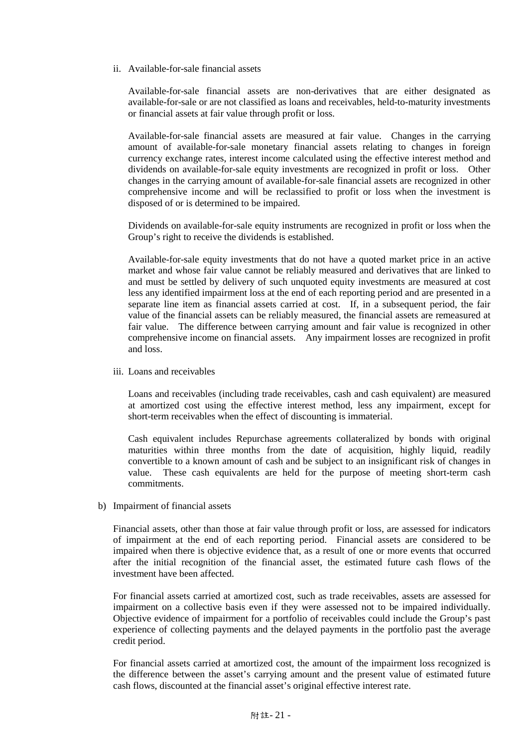ii. Available-for-sale financial assets

Available-for-sale financial assets are non-derivatives that are either designated as available-for-sale or are not classified as loans and receivables, held-to-maturity investments or financial assets at fair value through profit or loss.

Available-for-sale financial assets are measured at fair value. Changes in the carrying amount of available-for-sale monetary financial assets relating to changes in foreign currency exchange rates, interest income calculated using the effective interest method and dividends on available-for-sale equity investments are recognized in profit or loss. Other changes in the carrying amount of available-for-sale financial assets are recognized in other comprehensive income and will be reclassified to profit or loss when the investment is disposed of or is determined to be impaired.

Dividends on available-for-sale equity instruments are recognized in profit or loss when the Group's right to receive the dividends is established.

Available-for-sale equity investments that do not have a quoted market price in an active market and whose fair value cannot be reliably measured and derivatives that are linked to and must be settled by delivery of such unquoted equity investments are measured at cost less any identified impairment loss at the end of each reporting period and are presented in a separate line item as financial assets carried at cost. If, in a subsequent period, the fair value of the financial assets can be reliably measured, the financial assets are remeasured at fair value. The difference between carrying amount and fair value is recognized in other comprehensive income on financial assets. Any impairment losses are recognized in profit and loss.

iii. Loans and receivables

Loans and receivables (including trade receivables, cash and cash equivalent) are measured at amortized cost using the effective interest method, less any impairment, except for short-term receivables when the effect of discounting is immaterial.

Cash equivalent includes Repurchase agreements collateralized by bonds with original maturities within three months from the date of acquisition, highly liquid, readily convertible to a known amount of cash and be subject to an insignificant risk of changes in value. These cash equivalents are held for the purpose of meeting short-term cash commitments.

b) Impairment of financial assets

Financial assets, other than those at fair value through profit or loss, are assessed for indicators of impairment at the end of each reporting period. Financial assets are considered to be impaired when there is objective evidence that, as a result of one or more events that occurred after the initial recognition of the financial asset, the estimated future cash flows of the investment have been affected.

For financial assets carried at amortized cost, such as trade receivables, assets are assessed for impairment on a collective basis even if they were assessed not to be impaired individually. Objective evidence of impairment for a portfolio of receivables could include the Group's past experience of collecting payments and the delayed payments in the portfolio past the average credit period.

For financial assets carried at amortized cost, the amount of the impairment loss recognized is the difference between the asset's carrying amount and the present value of estimated future cash flows, discounted at the financial asset's original effective interest rate.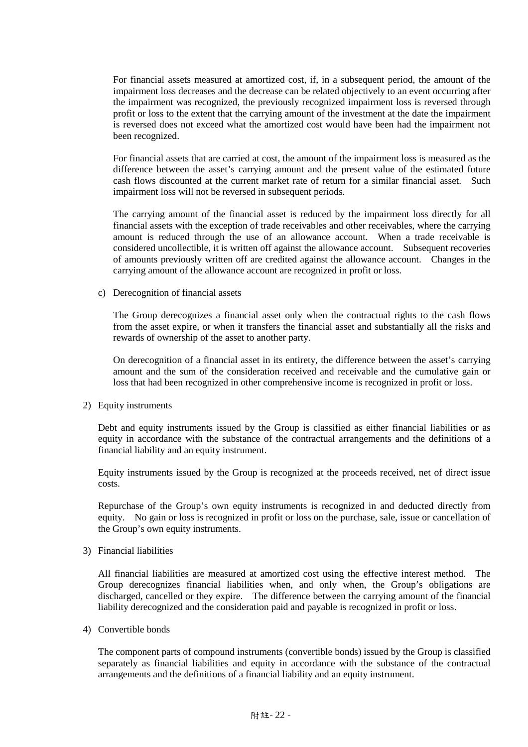For financial assets measured at amortized cost, if, in a subsequent period, the amount of the impairment loss decreases and the decrease can be related objectively to an event occurring after the impairment was recognized, the previously recognized impairment loss is reversed through profit or loss to the extent that the carrying amount of the investment at the date the impairment is reversed does not exceed what the amortized cost would have been had the impairment not been recognized.

For financial assets that are carried at cost, the amount of the impairment loss is measured as the difference between the asset's carrying amount and the present value of the estimated future cash flows discounted at the current market rate of return for a similar financial asset. Such impairment loss will not be reversed in subsequent periods.

The carrying amount of the financial asset is reduced by the impairment loss directly for all financial assets with the exception of trade receivables and other receivables, where the carrying amount is reduced through the use of an allowance account. When a trade receivable is considered uncollectible, it is written off against the allowance account. Subsequent recoveries of amounts previously written off are credited against the allowance account. Changes in the carrying amount of the allowance account are recognized in profit or loss.

c) Derecognition of financial assets

The Group derecognizes a financial asset only when the contractual rights to the cash flows from the asset expire, or when it transfers the financial asset and substantially all the risks and rewards of ownership of the asset to another party.

On derecognition of a financial asset in its entirety, the difference between the asset's carrying amount and the sum of the consideration received and receivable and the cumulative gain or loss that had been recognized in other comprehensive income is recognized in profit or loss.

## 2) Equity instruments

Debt and equity instruments issued by the Group is classified as either financial liabilities or as equity in accordance with the substance of the contractual arrangements and the definitions of a financial liability and an equity instrument.

Equity instruments issued by the Group is recognized at the proceeds received, net of direct issue costs.

Repurchase of the Group's own equity instruments is recognized in and deducted directly from equity. No gain or loss is recognized in profit or loss on the purchase, sale, issue or cancellation of the Group's own equity instruments.

3) Financial liabilities

All financial liabilities are measured at amortized cost using the effective interest method. The Group derecognizes financial liabilities when, and only when, the Group's obligations are discharged, cancelled or they expire. The difference between the carrying amount of the financial liability derecognized and the consideration paid and payable is recognized in profit or loss.

4) Convertible bonds

The component parts of compound instruments (convertible bonds) issued by the Group is classified separately as financial liabilities and equity in accordance with the substance of the contractual arrangements and the definitions of a financial liability and an equity instrument.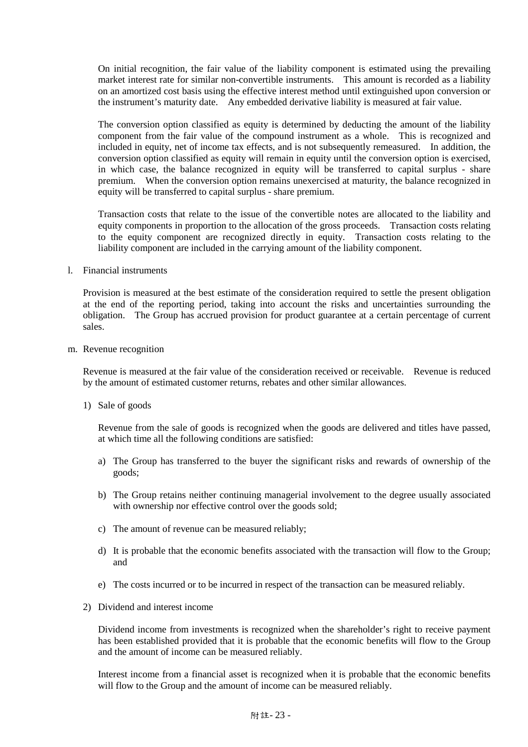On initial recognition, the fair value of the liability component is estimated using the prevailing market interest rate for similar non-convertible instruments. This amount is recorded as a liability on an amortized cost basis using the effective interest method until extinguished upon conversion or the instrument's maturity date. Any embedded derivative liability is measured at fair value.

The conversion option classified as equity is determined by deducting the amount of the liability component from the fair value of the compound instrument as a whole. This is recognized and included in equity, net of income tax effects, and is not subsequently remeasured. In addition, the conversion option classified as equity will remain in equity until the conversion option is exercised, in which case, the balance recognized in equity will be transferred to capital surplus - share premium. When the conversion option remains unexercised at maturity, the balance recognized in equity will be transferred to capital surplus - share premium.

Transaction costs that relate to the issue of the convertible notes are allocated to the liability and equity components in proportion to the allocation of the gross proceeds. Transaction costs relating to the equity component are recognized directly in equity. Transaction costs relating to the liability component are included in the carrying amount of the liability component.

l. Financial instruments

Provision is measured at the best estimate of the consideration required to settle the present obligation at the end of the reporting period, taking into account the risks and uncertainties surrounding the obligation. The Group has accrued provision for product guarantee at a certain percentage of current sales.

m. Revenue recognition

Revenue is measured at the fair value of the consideration received or receivable. Revenue is reduced by the amount of estimated customer returns, rebates and other similar allowances.

1) Sale of goods

Revenue from the sale of goods is recognized when the goods are delivered and titles have passed, at which time all the following conditions are satisfied:

- a) The Group has transferred to the buyer the significant risks and rewards of ownership of the goods;
- b) The Group retains neither continuing managerial involvement to the degree usually associated with ownership nor effective control over the goods sold;
- c) The amount of revenue can be measured reliably;
- d) It is probable that the economic benefits associated with the transaction will flow to the Group; and
- e) The costs incurred or to be incurred in respect of the transaction can be measured reliably.
- 2) Dividend and interest income

Dividend income from investments is recognized when the shareholder's right to receive payment has been established provided that it is probable that the economic benefits will flow to the Group and the amount of income can be measured reliably.

Interest income from a financial asset is recognized when it is probable that the economic benefits will flow to the Group and the amount of income can be measured reliably.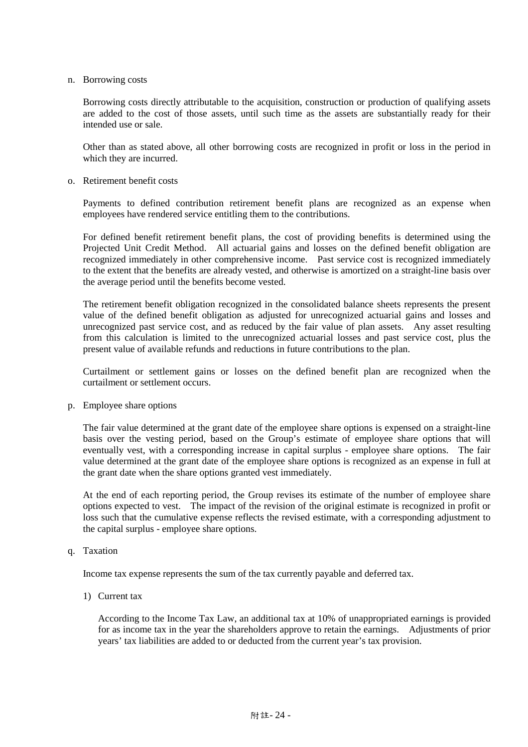n. Borrowing costs

Borrowing costs directly attributable to the acquisition, construction or production of qualifying assets are added to the cost of those assets, until such time as the assets are substantially ready for their intended use or sale.

Other than as stated above, all other borrowing costs are recognized in profit or loss in the period in which they are incurred.

o. Retirement benefit costs

Payments to defined contribution retirement benefit plans are recognized as an expense when employees have rendered service entitling them to the contributions.

For defined benefit retirement benefit plans, the cost of providing benefits is determined using the Projected Unit Credit Method. All actuarial gains and losses on the defined benefit obligation are recognized immediately in other comprehensive income. Past service cost is recognized immediately to the extent that the benefits are already vested, and otherwise is amortized on a straight-line basis over the average period until the benefits become vested.

The retirement benefit obligation recognized in the consolidated balance sheets represents the present value of the defined benefit obligation as adjusted for unrecognized actuarial gains and losses and unrecognized past service cost, and as reduced by the fair value of plan assets. Any asset resulting from this calculation is limited to the unrecognized actuarial losses and past service cost, plus the present value of available refunds and reductions in future contributions to the plan.

Curtailment or settlement gains or losses on the defined benefit plan are recognized when the curtailment or settlement occurs.

p. Employee share options

The fair value determined at the grant date of the employee share options is expensed on a straight-line basis over the vesting period, based on the Group's estimate of employee share options that will eventually vest, with a corresponding increase in capital surplus - employee share options. The fair value determined at the grant date of the employee share options is recognized as an expense in full at the grant date when the share options granted vest immediately.

At the end of each reporting period, the Group revises its estimate of the number of employee share options expected to vest. The impact of the revision of the original estimate is recognized in profit or loss such that the cumulative expense reflects the revised estimate, with a corresponding adjustment to the capital surplus - employee share options.

q. Taxation

Income tax expense represents the sum of the tax currently payable and deferred tax.

1) Current tax

According to the Income Tax Law, an additional tax at 10% of unappropriated earnings is provided for as income tax in the year the shareholders approve to retain the earnings. Adjustments of prior years' tax liabilities are added to or deducted from the current year's tax provision.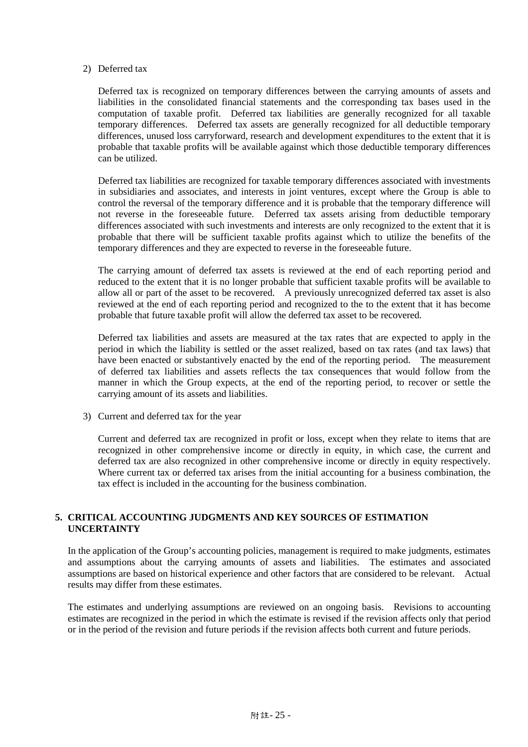### 2) Deferred tax

Deferred tax is recognized on temporary differences between the carrying amounts of assets and liabilities in the consolidated financial statements and the corresponding tax bases used in the computation of taxable profit. Deferred tax liabilities are generally recognized for all taxable temporary differences. Deferred tax assets are generally recognized for all deductible temporary differences, unused loss carryforward, research and development expenditures to the extent that it is probable that taxable profits will be available against which those deductible temporary differences can be utilized.

Deferred tax liabilities are recognized for taxable temporary differences associated with investments in subsidiaries and associates, and interests in joint ventures, except where the Group is able to control the reversal of the temporary difference and it is probable that the temporary difference will not reverse in the foreseeable future. Deferred tax assets arising from deductible temporary differences associated with such investments and interests are only recognized to the extent that it is probable that there will be sufficient taxable profits against which to utilize the benefits of the temporary differences and they are expected to reverse in the foreseeable future.

The carrying amount of deferred tax assets is reviewed at the end of each reporting period and reduced to the extent that it is no longer probable that sufficient taxable profits will be available to allow all or part of the asset to be recovered. A previously unrecognized deferred tax asset is also reviewed at the end of each reporting period and recognized to the to the extent that it has become probable that future taxable profit will allow the deferred tax asset to be recovered.

Deferred tax liabilities and assets are measured at the tax rates that are expected to apply in the period in which the liability is settled or the asset realized, based on tax rates (and tax laws) that have been enacted or substantively enacted by the end of the reporting period. The measurement of deferred tax liabilities and assets reflects the tax consequences that would follow from the manner in which the Group expects, at the end of the reporting period, to recover or settle the carrying amount of its assets and liabilities.

3) Current and deferred tax for the year

Current and deferred tax are recognized in profit or loss, except when they relate to items that are recognized in other comprehensive income or directly in equity, in which case, the current and deferred tax are also recognized in other comprehensive income or directly in equity respectively. Where current tax or deferred tax arises from the initial accounting for a business combination, the tax effect is included in the accounting for the business combination.

# **5. CRITICAL ACCOUNTING JUDGMENTS AND KEY SOURCES OF ESTIMATION UNCERTAINTY**

In the application of the Group's accounting policies, management is required to make judgments, estimates and assumptions about the carrying amounts of assets and liabilities. The estimates and associated assumptions are based on historical experience and other factors that are considered to be relevant. Actual results may differ from these estimates.

The estimates and underlying assumptions are reviewed on an ongoing basis. Revisions to accounting estimates are recognized in the period in which the estimate is revised if the revision affects only that period or in the period of the revision and future periods if the revision affects both current and future periods.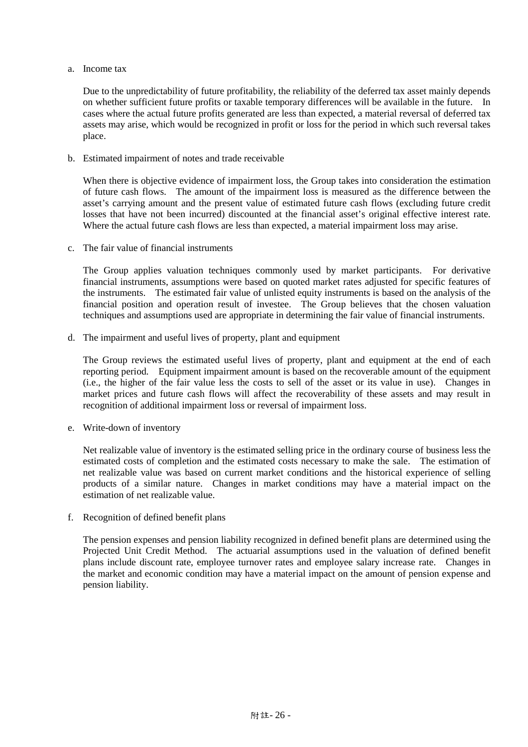a. Income tax

Due to the unpredictability of future profitability, the reliability of the deferred tax asset mainly depends on whether sufficient future profits or taxable temporary differences will be available in the future. In cases where the actual future profits generated are less than expected, a material reversal of deferred tax assets may arise, which would be recognized in profit or loss for the period in which such reversal takes place.

b. Estimated impairment of notes and trade receivable

When there is objective evidence of impairment loss, the Group takes into consideration the estimation of future cash flows. The amount of the impairment loss is measured as the difference between the asset's carrying amount and the present value of estimated future cash flows (excluding future credit losses that have not been incurred) discounted at the financial asset's original effective interest rate. Where the actual future cash flows are less than expected, a material impairment loss may arise.

c. The fair value of financial instruments

The Group applies valuation techniques commonly used by market participants. For derivative financial instruments, assumptions were based on quoted market rates adjusted for specific features of the instruments. The estimated fair value of unlisted equity instruments is based on the analysis of the financial position and operation result of investee. The Group believes that the chosen valuation techniques and assumptions used are appropriate in determining the fair value of financial instruments.

d. The impairment and useful lives of property, plant and equipment

The Group reviews the estimated useful lives of property, plant and equipment at the end of each reporting period. Equipment impairment amount is based on the recoverable amount of the equipment (i.e., the higher of the fair value less the costs to sell of the asset or its value in use). Changes in market prices and future cash flows will affect the recoverability of these assets and may result in recognition of additional impairment loss or reversal of impairment loss.

e. Write-down of inventory

Net realizable value of inventory is the estimated selling price in the ordinary course of business less the estimated costs of completion and the estimated costs necessary to make the sale. The estimation of net realizable value was based on current market conditions and the historical experience of selling products of a similar nature. Changes in market conditions may have a material impact on the estimation of net realizable value.

f. Recognition of defined benefit plans

The pension expenses and pension liability recognized in defined benefit plans are determined using the Projected Unit Credit Method. The actuarial assumptions used in the valuation of defined benefit plans include discount rate, employee turnover rates and employee salary increase rate. Changes in the market and economic condition may have a material impact on the amount of pension expense and pension liability.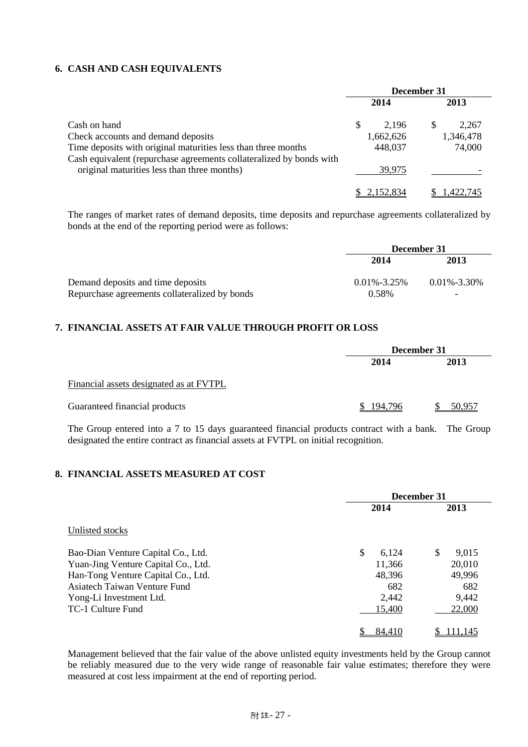# **6. CASH AND CASH EQUIVALENTS**

|                                                                     | December 31 |           |  |           |
|---------------------------------------------------------------------|-------------|-----------|--|-----------|
|                                                                     |             | 2014      |  | 2013      |
| Cash on hand                                                        | S           | 2.196     |  | 2,267     |
| Check accounts and demand deposits                                  |             | 1,662,626 |  | 1,346,478 |
| Time deposits with original maturities less than three months       |             | 448,037   |  | 74,000    |
| Cash equivalent (repurchase agreements collateralized by bonds with |             |           |  |           |
| original maturities less than three months)                         |             | 39,975    |  |           |
|                                                                     |             | 2.152.834 |  | .422,745  |

The ranges of market rates of demand deposits, time deposits and repurchase agreements collateralized by bonds at the end of the reporting period were as follows:

|                                               | December 31       |                   |  |
|-----------------------------------------------|-------------------|-------------------|--|
| Demand deposits and time deposits             | 2014              | 2013              |  |
|                                               | $0.01\% - 3.25\%$ | $0.01\% - 3.30\%$ |  |
| Repurchase agreements collateralized by bonds | 0.58%             | -                 |  |

# **7. FINANCIAL ASSETS AT FAIR VALUE THROUGH PROFIT OR LOSS**

|                                         | December 31 |        |
|-----------------------------------------|-------------|--------|
|                                         | 2014        | 2013   |
| Financial assets designated as at FVTPL |             |        |
| Guaranteed financial products           | \$194,796   | 50.957 |

The Group entered into a 7 to 15 days guaranteed financial products contract with a bank. The Group designated the entire contract as financial assets at FVTPL on initial recognition.

# **8. FINANCIAL ASSETS MEASURED AT COST**

|                                     | December 31 |             |  |
|-------------------------------------|-------------|-------------|--|
|                                     | 2014        | 2013        |  |
| Unlisted stocks                     |             |             |  |
| Bao-Dian Venture Capital Co., Ltd.  | \$<br>6.124 | \$<br>9,015 |  |
| Yuan-Jing Venture Capital Co., Ltd. | 11,366      | 20,010      |  |
| Han-Tong Venture Capital Co., Ltd.  | 48,396      | 49,996      |  |
| Asiatech Taiwan Venture Fund        | 682         | 682         |  |
| Yong-Li Investment Ltd.             | 2,442       | 9,442       |  |
| TC-1 Culture Fund                   | 15,400      | 22,000      |  |
|                                     | 84.410      | 111.145     |  |

Management believed that the fair value of the above unlisted equity investments held by the Group cannot be reliably measured due to the very wide range of reasonable fair value estimates; therefore they were measured at cost less impairment at the end of reporting period.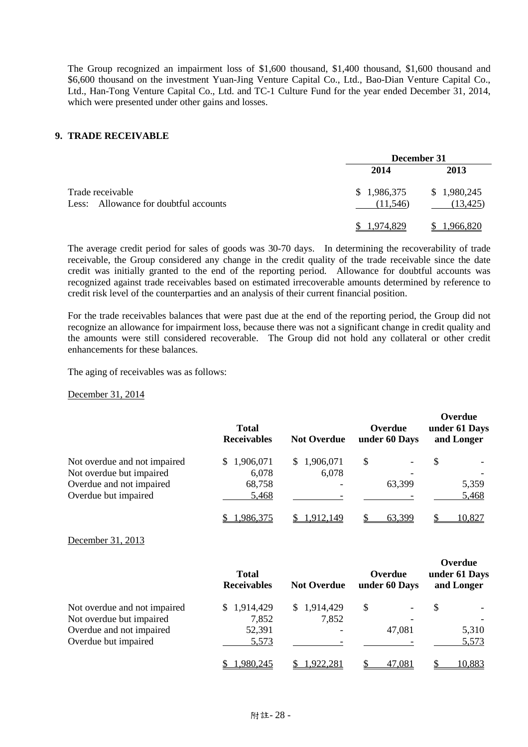The Group recognized an impairment loss of \$1,600 thousand, \$1,400 thousand, \$1,600 thousand and \$6,600 thousand on the investment Yuan-Jing Venture Capital Co., Ltd., Bao-Dian Venture Capital Co., Ltd., Han-Tong Venture Capital Co., Ltd. and TC-1 Culture Fund for the year ended December 31, 2014, which were presented under other gains and losses.

#### **9. TRADE RECEIVABLE**

|                                                           | December 31             |                          |  |
|-----------------------------------------------------------|-------------------------|--------------------------|--|
|                                                           | 2014                    | 2013                     |  |
| Trade receivable<br>Less: Allowance for doubtful accounts | \$1,986,375<br>(11,546) | \$1,980,245<br>(13, 425) |  |
|                                                           | 1.974.829               | 1,966,820                |  |

The average credit period for sales of goods was 30-70 days. In determining the recoverability of trade receivable, the Group considered any change in the credit quality of the trade receivable since the date credit was initially granted to the end of the reporting period. Allowance for doubtful accounts was recognized against trade receivables based on estimated irrecoverable amounts determined by reference to credit risk level of the counterparties and an analysis of their current financial position.

For the trade receivables balances that were past due at the end of the reporting period, the Group did not recognize an allowance for impairment loss, because there was not a significant change in credit quality and the amounts were still considered recoverable. The Group did not hold any collateral or other credit enhancements for these balances.

The aging of receivables was as follows:

December 31, 2014

|                              | <b>Total</b><br><b>Receivables</b> | <b>Not Overdue</b> | Overdue<br>under 60 Days | Overdue<br>under 61 Days<br>and Longer |  |
|------------------------------|------------------------------------|--------------------|--------------------------|----------------------------------------|--|
| Not overdue and not impaired | \$1,906,071                        | 1,906,071<br>S.    | S                        | \$                                     |  |
| Not overdue but impaired     | 6,078                              | 6,078              |                          |                                        |  |
| Overdue and not impaired     | 68,758                             |                    | 63,399                   | 5,359                                  |  |
| Overdue but impaired         | 5,468                              |                    |                          | 5,468                                  |  |
|                              | 1,986,375                          | .912.149           | 63,399                   | 10,827                                 |  |

December 31, 2013

|                              | <b>Total</b><br><b>Receivables</b> | <b>Not Overdue</b> | Overdue<br>under 60 Days | vvuuu<br>under 61 Days<br>and Longer |  |
|------------------------------|------------------------------------|--------------------|--------------------------|--------------------------------------|--|
| Not overdue and not impaired | \$1,914,429                        | \$1,914,429        | S                        | S                                    |  |
| Not overdue but impaired     | 7,852                              | 7,852              |                          |                                      |  |
| Overdue and not impaired     | 52,391                             |                    | 47,081                   | 5,310                                |  |
| Overdue but impaired         | 5,573                              |                    |                          | 5,573                                |  |
|                              | 1,980,245                          | 1,922,281          | 47,081                   | 10,883                               |  |

**Overdue**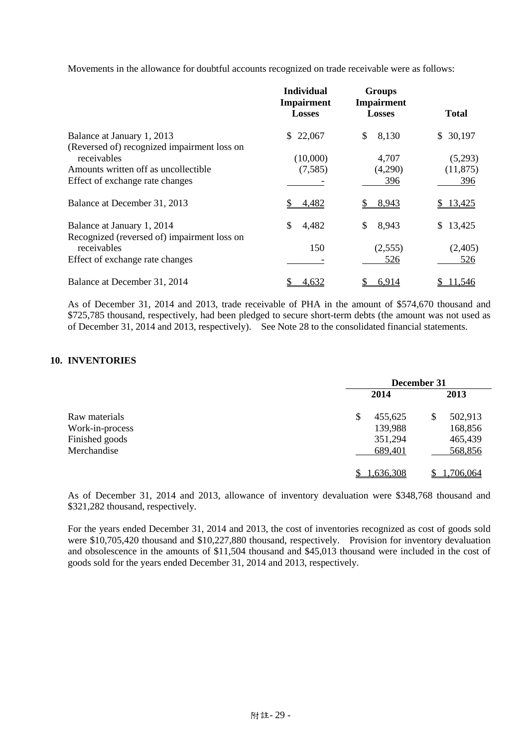Movements in the allowance for doubtful accounts recognized on trade receivable were as follows:

|                                                                           | <b>Individual</b><br><b>Impairment</b> | <b>Groups</b><br>Impairment |              |
|---------------------------------------------------------------------------|----------------------------------------|-----------------------------|--------------|
|                                                                           | <b>Losses</b>                          | <b>Losses</b>               | <b>Total</b> |
| Balance at January 1, 2013<br>(Reversed of) recognized impairment loss on | \$22,067                               | \$<br>8,130                 | \$30,197     |
| receivables                                                               | (10,000)                               | 4,707                       | (5,293)      |
| Amounts written off as uncollectible                                      | (7,585)                                | (4,290)                     | (11, 875)    |
| Effect of exchange rate changes                                           |                                        | 396                         | 396          |
| Balance at December 31, 2013                                              | 4,482                                  | 8,943                       | 13,425       |
| Balance at January 1, 2014                                                | \$<br>4,482                            | \$<br>8,943                 | \$13,425     |
| Recognized (reversed of) impairment loss on<br>receivables                | 150                                    | (2,555)                     | (2,405)      |
| Effect of exchange rate changes                                           |                                        | 526                         | 526          |
| Balance at December 31, 2014                                              | 4.632                                  | 6.914                       | 11,546       |

As of December 31, 2014 and 2013, trade receivable of PHA in the amount of \$574,670 thousand and \$725,785 thousand, respectively, had been pledged to secure short-term debts (the amount was not used as of December 31, 2014 and 2013, respectively). See Note 28 to the consolidated financial statements.

# **10. INVENTORIES**

|                 | December 31   |          |  |
|-----------------|---------------|----------|--|
| Raw materials   | 2014          | 2013     |  |
|                 | \$<br>455,625 | 502,913  |  |
| Work-in-process | 139,988       | 168,856  |  |
| Finished goods  | 351,294       | 465,439  |  |
| Merchandise     | 689,401       | 568,856  |  |
|                 | 1,636,308     | .706,064 |  |

As of December 31, 2014 and 2013, allowance of inventory devaluation were \$348,768 thousand and \$321,282 thousand, respectively.

For the years ended December 31, 2014 and 2013, the cost of inventories recognized as cost of goods sold were \$10,705,420 thousand and \$10,227,880 thousand, respectively. Provision for inventory devaluation and obsolescence in the amounts of \$11,504 thousand and \$45,013 thousand were included in the cost of goods sold for the years ended December 31, 2014 and 2013, respectively.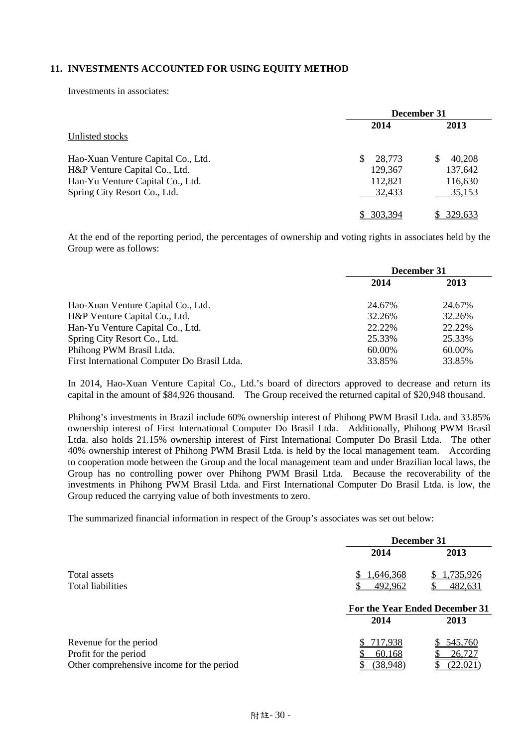# **11. INVESTMENTS ACCOUNTED FOR USING EQUITY METHOD**

Investments in associates:

|                                    | December 31   |         |  |
|------------------------------------|---------------|---------|--|
|                                    | 2014          | 2013    |  |
| Unlisted stocks                    |               |         |  |
| Hao-Xuan Venture Capital Co., Ltd. | \$.<br>28.773 | 40,208  |  |
| H&P Venture Capital Co., Ltd.      | 129,367       | 137,642 |  |
| Han-Yu Venture Capital Co., Ltd.   | 112,821       | 116,630 |  |
| Spring City Resort Co., Ltd.       | 32,433        | 35,153  |  |
|                                    | - 303.394     | 329,633 |  |

At the end of the reporting period, the percentages of ownership and voting rights in associates held by the Group were as follows:

|                                              | December 31 |        |
|----------------------------------------------|-------------|--------|
|                                              | 2014        | 2013   |
| Hao-Xuan Venture Capital Co., Ltd.           | 24.67%      | 24.67% |
| H&P Venture Capital Co., Ltd.                | 32.26%      | 32.26% |
| Han-Yu Venture Capital Co., Ltd.             | 22.22%      | 22.22% |
| Spring City Resort Co., Ltd.                 | 25.33%      | 25.33% |
| Phihong PWM Brasil Ltda.                     | 60.00%      | 60.00% |
| First International Computer Do Brasil Ltda. | 33.85%      | 33.85% |

In 2014, Hao-Xuan Venture Capital Co., Ltd.'s board of directors approved to decrease and return its capital in the amount of \$84,926 thousand. The Group received the returned capital of \$20,948 thousand.

Phihong's investments in Brazil include 60% ownership interest of Phihong PWM Brasil Ltda. and 33.85% ownership interest of First International Computer Do Brasil Ltda. Additionally, Phihong PWM Brasil Ltda. also holds 21.15% ownership interest of First International Computer Do Brasil Ltda. The other 40% ownership interest of Phihong PWM Brasil Ltda. is held by the local management team. According to cooperation mode between the Group and the local management team and under Brazilian local laws, the Group has no controlling power over Phihong PWM Brasil Ltda. Because the recoverability of the investments in Phihong PWM Brasil Ltda. and First International Computer Do Brasil Ltda. is low, the Group reduced the carrying value of both investments to zero.

The summarized financial information in respect of the Group's associates was set out below:

|                                                                    | December 31                            |                      |  |
|--------------------------------------------------------------------|----------------------------------------|----------------------|--|
|                                                                    | 2014                                   | 2013                 |  |
| Total assets<br>Total liabilities                                  | 1,646,368<br>492,962                   | 1,735,926<br>482,631 |  |
|                                                                    | For the Year Ended December 31<br>2014 |                      |  |
|                                                                    |                                        | 2013                 |  |
| Revenue for the period                                             | 717,938                                | 545,760              |  |
| Profit for the period<br>Other comprehensive income for the period | 60,168<br>(38,948)                     | 26,727<br>(22.02)    |  |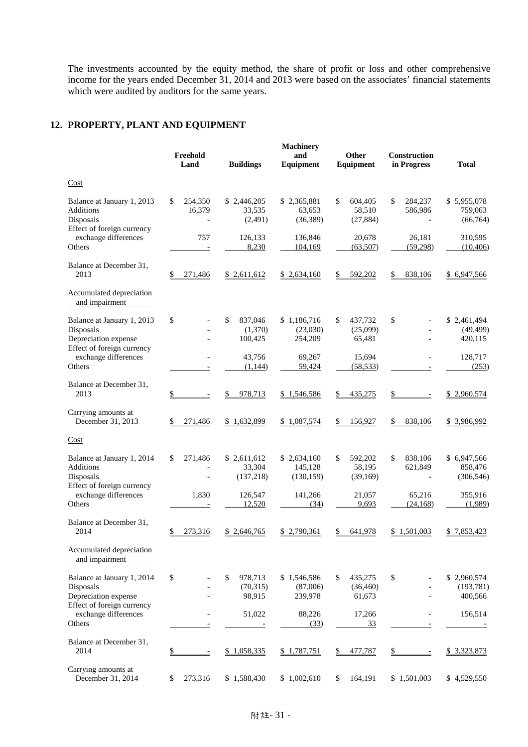The investments accounted by the equity method, the share of profit or loss and other comprehensive income for the years ended December 31, 2014 and 2013 were based on the associates' financial statements which were audited by auditors for the same years.

# **12. PROPERTY, PLANT AND EQUIPMENT**

|                                                                                               | Freehold<br>Land        | <b>Buildings</b>                    | <b>Machinery</b><br>and<br>Equipment | Other<br>Equipment                   | Construction<br>in Progress | <b>Total</b>                         |
|-----------------------------------------------------------------------------------------------|-------------------------|-------------------------------------|--------------------------------------|--------------------------------------|-----------------------------|--------------------------------------|
| Cost                                                                                          |                         |                                     |                                      |                                      |                             |                                      |
| Balance at January 1, 2013<br>Additions<br>Disposals                                          | 254,350<br>\$<br>16,379 | \$2,446,205<br>33,535<br>(2,491)    | \$2,365,881<br>63,653<br>(36,389)    | \$<br>604,405<br>58,510<br>(27, 884) | \$<br>284,237<br>586,986    | \$5,955,078<br>759,063<br>(66, 764)  |
| Effect of foreign currency<br>exchange differences<br>Others                                  | 757                     | 126,133<br>8,230                    | 136,846<br>104,169                   | 20,678<br>(63,507)                   | 26,181<br>(59, 298)         | 310,595<br>(10, 406)                 |
| Balance at December 31,<br>2013                                                               | 271,486                 | \$2,611,612                         | \$2,634,160                          | 592,202<br>S                         | 838,106                     | \$ 6,947,566                         |
| Accumulated depreciation<br>and impairment                                                    |                         |                                     |                                      |                                      |                             |                                      |
| Balance at January 1, 2013<br>Disposals<br>Depreciation expense                               | \$                      | \$<br>837,046<br>(1,370)<br>100,425 | \$1,186,716<br>(23,030)<br>254,209   | 437,732<br>\$<br>(25,099)<br>65,481  | \$                          | \$2,461,494<br>(49, 499)<br>420,115  |
| Effect of foreign currency<br>exchange differences<br>Others                                  |                         | 43,756<br>(1,144)                   | 69,267<br>59,424                     | 15,694<br>(58, 533)                  |                             | 128,717<br>(253)                     |
| Balance at December 31,<br>2013                                                               | \$                      | 978,713<br>\$                       | \$1,546,586                          | 435,275<br>\$                        | \$                          | \$ 2,960,574                         |
| Carrying amounts at<br>December 31, 2013                                                      | 271,486                 | \$1,632,899                         | \$1,087,574                          | 156,927                              | 838,106                     | \$ 3,986,992                         |
| Cost                                                                                          |                         |                                     |                                      |                                      |                             |                                      |
| Balance at January 1, 2014<br>Additions<br>Disposals                                          | \$<br>271,486           | \$2,611,612<br>33,304<br>(137,218)  | \$2,634,160<br>145,128<br>(130, 159) | 592,202<br>\$<br>58,195<br>(39,169)  | \$<br>838,106<br>621,849    | \$6,947,566<br>858,476<br>(306, 546) |
| Effect of foreign currency<br>exchange differences<br>Others                                  | 1,830                   | 126,547<br>12,520                   | 141,266<br>(34)                      | 21,057<br>9,693                      | 65,216<br>(24, 168)         | 355,916<br>(1,989)                   |
| Balance at December 31,<br>2014                                                               | 273,316<br>\$           | 2,646,765                           | 2,790,361                            | 641,978<br>\$                        | 1,501,003<br>\$             | \$7,853,423                          |
| Accumulated depreciation<br>and impairment                                                    |                         |                                     |                                      |                                      |                             |                                      |
| Balance at January 1, 2014<br>Disposals<br>Depreciation expense<br>Effect of foreign currency | \$                      | \$<br>978,713<br>(70,315)<br>98,915 | \$1,546,586<br>(87,006)<br>239,978   | 435,275<br>\$<br>(36, 460)<br>61,673 | \$                          | \$2,960,574<br>(193, 781)<br>400,566 |
| exchange differences<br>Others                                                                |                         | 51,022                              | 88,226<br>(33)                       | 17,266<br><u>33</u>                  |                             | 156,514                              |
| Balance at December 31,<br>2014                                                               |                         | \$1,058,335                         | \$1,787,751                          | 477,787                              |                             | \$ 3,323,873                         |
| Carrying amounts at<br>December 31, 2014                                                      | 273,316                 | \$1,588,430                         | \$1,002,610                          | 164,191<br>\$                        | \$1,501,003                 | \$4,529,550                          |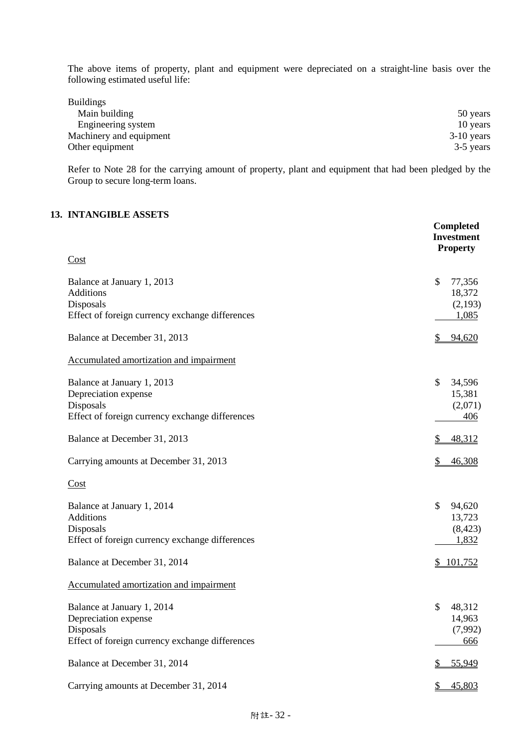The above items of property, plant and equipment were depreciated on a straight-line basis over the following estimated useful life:

| <b>Buildings</b>        |              |
|-------------------------|--------------|
| Main building           | 50 years     |
| Engineering system      | 10 years     |
| Machinery and equipment | $3-10$ years |
| Other equipment         | 3-5 years    |

Refer to Note 28 for the carrying amount of property, plant and equipment that had been pledged by the Group to secure long-term loans.

# **13. INTANGIBLE ASSETS**

|                                                                                                                    | <b>Completed</b><br><b>Investment</b><br><b>Property</b> |
|--------------------------------------------------------------------------------------------------------------------|----------------------------------------------------------|
| Cost                                                                                                               |                                                          |
| Balance at January 1, 2013<br><b>Additions</b><br>Disposals<br>Effect of foreign currency exchange differences     | \$<br>77,356<br>18,372<br>(2,193)<br>1,085               |
| Balance at December 31, 2013                                                                                       | \$<br>94,620                                             |
| Accumulated amortization and impairment                                                                            |                                                          |
| Balance at January 1, 2013<br>Depreciation expense<br>Disposals<br>Effect of foreign currency exchange differences | \$<br>34,596<br>15,381<br>(2,071)<br>406                 |
| Balance at December 31, 2013                                                                                       | \$<br>48,312                                             |
| Carrying amounts at December 31, 2013                                                                              | \$<br>46,308                                             |
| Cost                                                                                                               |                                                          |
| Balance at January 1, 2014<br>Additions<br>Disposals<br>Effect of foreign currency exchange differences            | $\mathcal{S}$<br>94,620<br>13,723<br>(8, 423)<br>1,832   |
| Balance at December 31, 2014                                                                                       | 101,752<br>$\frac{1}{2}$                                 |
| Accumulated amortization and impairment                                                                            |                                                          |
| Balance at January 1, 2014<br>Depreciation expense<br>Disposals<br>Effect of foreign currency exchange differences | \$<br>48,312<br>14,963<br>(7,992)<br>666                 |
| Balance at December 31, 2014                                                                                       | 55,949<br>\$                                             |
| Carrying amounts at December 31, 2014                                                                              | 45,803<br>\$                                             |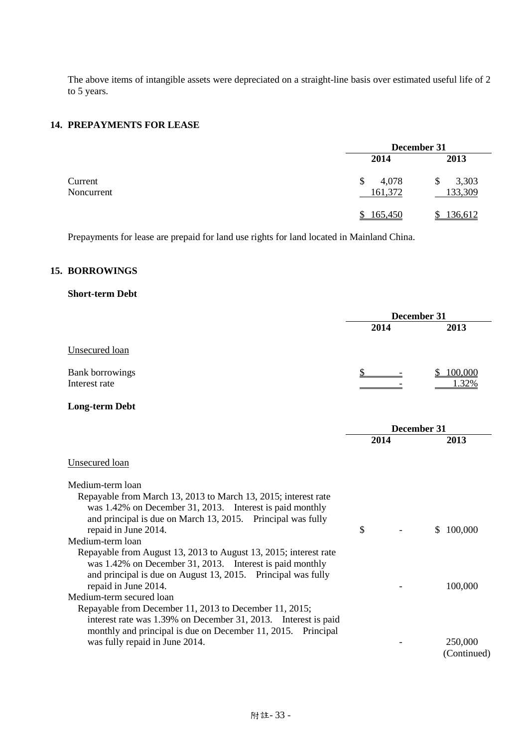The above items of intangible assets were depreciated on a straight-line basis over estimated useful life of 2 to 5 years.

# **14. PREPAYMENTS FOR LEASE**

|                       | December 31            |                       |  |
|-----------------------|------------------------|-----------------------|--|
|                       | 2014                   | 2013                  |  |
| Current<br>Noncurrent | 4,078<br>\$<br>161,372 | 3,303<br>S<br>133,309 |  |
|                       | \$165,450              | 136,612               |  |

Prepayments for lease are prepaid for land use rights for land located in Mainland China.

# **15. BORROWINGS**

# **Short-term Debt**

|                                                                                                                                                                                                                                                                                                                                                                                                                                                                                                                                                                                                                                                                                                                                             | December 31 |                                    |
|---------------------------------------------------------------------------------------------------------------------------------------------------------------------------------------------------------------------------------------------------------------------------------------------------------------------------------------------------------------------------------------------------------------------------------------------------------------------------------------------------------------------------------------------------------------------------------------------------------------------------------------------------------------------------------------------------------------------------------------------|-------------|------------------------------------|
|                                                                                                                                                                                                                                                                                                                                                                                                                                                                                                                                                                                                                                                                                                                                             | 2014        | 2013                               |
| Unsecured loan                                                                                                                                                                                                                                                                                                                                                                                                                                                                                                                                                                                                                                                                                                                              |             |                                    |
| <b>Bank borrowings</b><br>Interest rate                                                                                                                                                                                                                                                                                                                                                                                                                                                                                                                                                                                                                                                                                                     |             | 100,000<br>1.32%                   |
| <b>Long-term Debt</b>                                                                                                                                                                                                                                                                                                                                                                                                                                                                                                                                                                                                                                                                                                                       |             |                                    |
|                                                                                                                                                                                                                                                                                                                                                                                                                                                                                                                                                                                                                                                                                                                                             |             | December 31                        |
|                                                                                                                                                                                                                                                                                                                                                                                                                                                                                                                                                                                                                                                                                                                                             | 2014        | 2013                               |
| Unsecured loan                                                                                                                                                                                                                                                                                                                                                                                                                                                                                                                                                                                                                                                                                                                              |             |                                    |
| Medium-term loan<br>Repayable from March 13, 2013 to March 13, 2015; interest rate<br>was 1.42% on December 31, 2013. Interest is paid monthly<br>and principal is due on March 13, 2015. Principal was fully<br>repaid in June 2014.<br>Medium-term loan<br>Repayable from August 13, 2013 to August 13, 2015; interest rate<br>was 1.42% on December 31, 2013. Interest is paid monthly<br>and principal is due on August 13, 2015. Principal was fully<br>repaid in June 2014.<br>Medium-term secured loan<br>Repayable from December 11, 2013 to December 11, 2015;<br>interest rate was 1.39% on December 31, 2013. Interest is paid<br>monthly and principal is due on December 11, 2015. Principal<br>was fully repaid in June 2014. | \$          | 100,000<br>S<br>100,000<br>250,000 |
|                                                                                                                                                                                                                                                                                                                                                                                                                                                                                                                                                                                                                                                                                                                                             |             | (Continued)                        |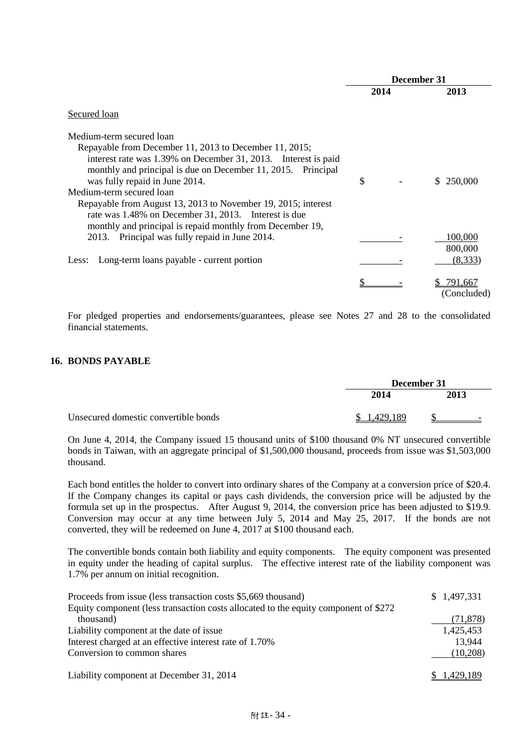|                                                                                                                                                                                                                                                                                                                                                                                                             | December 31 |      |                               |
|-------------------------------------------------------------------------------------------------------------------------------------------------------------------------------------------------------------------------------------------------------------------------------------------------------------------------------------------------------------------------------------------------------------|-------------|------|-------------------------------|
|                                                                                                                                                                                                                                                                                                                                                                                                             |             | 2014 | 2013                          |
| Secured loan                                                                                                                                                                                                                                                                                                                                                                                                |             |      |                               |
| Medium-term secured loan<br>Repayable from December 11, 2013 to December 11, 2015;<br>interest rate was 1.39% on December 31, 2013. Interest is paid<br>monthly and principal is due on December 11, 2015. Principal<br>was fully repaid in June 2014.<br>Medium-term secured loan<br>Repayable from August 13, 2013 to November 19, 2015; interest<br>rate was 1.48% on December 31, 2013. Interest is due | \$          |      | \$250,000                     |
| monthly and principal is repaid monthly from December 19,<br>2013. Principal was fully repaid in June 2014.<br>Long-term loans payable - current portion<br>Less:                                                                                                                                                                                                                                           |             |      | 100,000<br>800,000<br>(8,333) |
|                                                                                                                                                                                                                                                                                                                                                                                                             |             |      | 791,667<br>(Concluded)        |

For pledged properties and endorsements/guarantees, please see Notes 27 and 28 to the consolidated financial statements.

# **16. BONDS PAYABLE**

|                                      | December 31 |                          |  |
|--------------------------------------|-------------|--------------------------|--|
|                                      | 2014        | 2013                     |  |
| Unsecured domestic convertible bonds | 429 189     | $\overline{\phantom{0}}$ |  |

On June 4, 2014, the Company issued 15 thousand units of \$100 thousand 0% NT unsecured convertible bonds in Taiwan, with an aggregate principal of \$1,500,000 thousand, proceeds from issue was \$1,503,000 thousand.

Each bond entitles the holder to convert into ordinary shares of the Company at a conversion price of \$20.4. If the Company changes its capital or pays cash dividends, the conversion price will be adjusted by the formula set up in the prospectus. After August 9, 2014, the conversion price has been adjusted to \$19.9. Conversion may occur at any time between July 5, 2014 and May 25, 2017. If the bonds are not converted, they will be redeemed on June 4, 2017 at \$100 thousand each.

The convertible bonds contain both liability and equity components. The equity component was presented in equity under the heading of capital surplus. The effective interest rate of the liability component was 1.7% per annum on initial recognition.

| Proceeds from issue (less transaction costs \$5,669 thousand)                       | \$1,497,331 |
|-------------------------------------------------------------------------------------|-------------|
| Equity component (less transaction costs allocated to the equity component of \$272 |             |
| thousand)                                                                           | (71, 878)   |
| Liability component at the date of issue.                                           | 1,425,453   |
| Interest charged at an effective interest rate of 1.70%                             | 13,944      |
| Conversion to common shares                                                         | (10,208)    |
| Liability component at December 31, 2014                                            | 1,429,189   |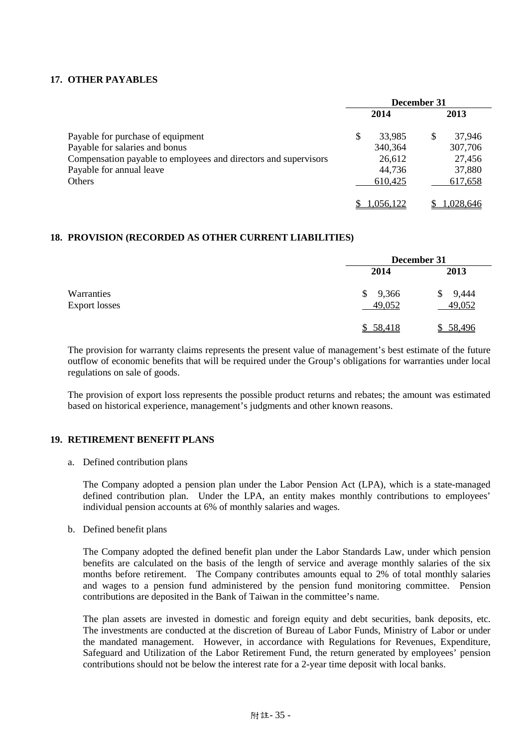# **17. OTHER PAYABLES**

|                                                                 | December 31 |           |  |           |
|-----------------------------------------------------------------|-------------|-----------|--|-----------|
|                                                                 |             | 2014      |  | 2013      |
| Payable for purchase of equipment                               | \$          | 33,985    |  | 37,946    |
| Payable for salaries and bonus                                  |             | 340,364   |  | 307,706   |
| Compensation payable to employees and directors and supervisors |             | 26,612    |  | 27,456    |
| Payable for annual leave                                        |             | 44,736    |  | 37,880    |
| <b>Others</b>                                                   |             | 610,425   |  | 617,658   |
|                                                                 |             | 1.056.122 |  | 1,028,646 |

# **18. PROVISION (RECORDED AS OTHER CURRENT LIABILITIES)**

|                      | December 31 |            |  |
|----------------------|-------------|------------|--|
|                      | 2014        | 2013       |  |
| Warranties           | 9,366<br>\$ | 9,444<br>S |  |
| <b>Export losses</b> | 49,052      | 49,052     |  |
|                      | \$58,418    | \$58,496   |  |

The provision for warranty claims represents the present value of management's best estimate of the future outflow of economic benefits that will be required under the Group's obligations for warranties under local regulations on sale of goods.

The provision of export loss represents the possible product returns and rebates; the amount was estimated based on historical experience, management's judgments and other known reasons.

## **19. RETIREMENT BENEFIT PLANS**

a. Defined contribution plans

The Company adopted a pension plan under the Labor Pension Act (LPA), which is a state-managed defined contribution plan. Under the LPA, an entity makes monthly contributions to employees' individual pension accounts at 6% of monthly salaries and wages.

b. Defined benefit plans

The Company adopted the defined benefit plan under the Labor Standards Law, under which pension benefits are calculated on the basis of the length of service and average monthly salaries of the six months before retirement. The Company contributes amounts equal to 2% of total monthly salaries and wages to a pension fund administered by the pension fund monitoring committee. Pension contributions are deposited in the Bank of Taiwan in the committee's name.

The plan assets are invested in domestic and foreign equity and debt securities, bank deposits, etc. The investments are conducted at the discretion of Bureau of Labor Funds, Ministry of Labor or under the mandated management. However, in accordance with Regulations for Revenues, Expenditure, Safeguard and Utilization of the Labor Retirement Fund, the return generated by employees' pension contributions should not be below the interest rate for a 2-year time deposit with local banks.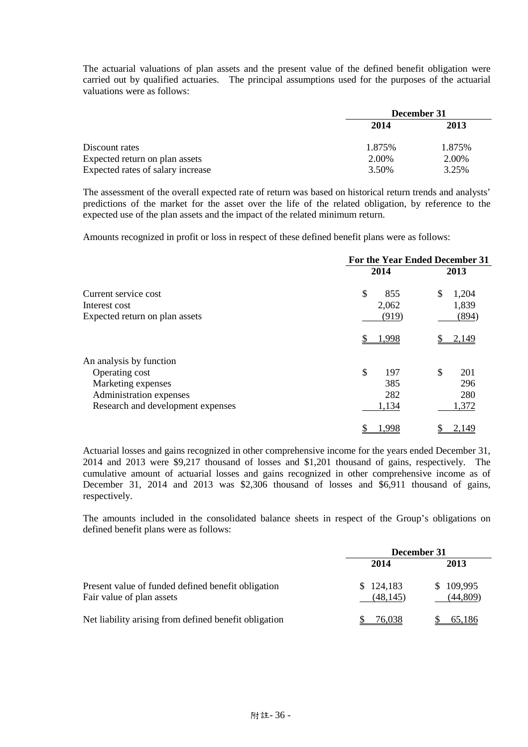The actuarial valuations of plan assets and the present value of the defined benefit obligation were carried out by qualified actuaries. The principal assumptions used for the purposes of the actuarial valuations were as follows:

|                                   | December 31 |        |  |
|-----------------------------------|-------------|--------|--|
|                                   | 2014        | 2013   |  |
| Discount rates                    | 1.875%      | 1.875% |  |
| Expected return on plan assets    | 2.00%       | 2.00%  |  |
| Expected rates of salary increase | 3.50%       | 3.25%  |  |

The assessment of the overall expected rate of return was based on historical return trends and analysts' predictions of the market for the asset over the life of the related obligation, by reference to the expected use of the plan assets and the impact of the related minimum return.

Amounts recognized in profit or loss in respect of these defined benefit plans were as follows:

|                                   | For the Year Ended December 31 |             |  |
|-----------------------------------|--------------------------------|-------------|--|
|                                   | 2014                           | 2013        |  |
| Current service cost              | \$<br>855                      | \$<br>1,204 |  |
| Interest cost                     | 2,062                          | 1,839       |  |
| Expected return on plan assets    | (919)                          | (894)       |  |
|                                   | 1,998                          | 2,149       |  |
| An analysis by function           |                                |             |  |
| Operating cost                    | \$<br>197                      | \$<br>201   |  |
| Marketing expenses                | 385                            | 296         |  |
| Administration expenses           | 282                            | 280         |  |
| Research and development expenses | 1,134                          | 1,372       |  |
|                                   | .998                           | 2.149       |  |

Actuarial losses and gains recognized in other comprehensive income for the years ended December 31, 2014 and 2013 were \$9,217 thousand of losses and \$1,201 thousand of gains, respectively. The cumulative amount of actuarial losses and gains recognized in other comprehensive income as of December 31, 2014 and 2013 was \$2,306 thousand of losses and \$6,911 thousand of gains, respectively.

The amounts included in the consolidated balance sheets in respect of the Group's obligations on defined benefit plans were as follows:

|                                                                                 | December 31            |                           |  |
|---------------------------------------------------------------------------------|------------------------|---------------------------|--|
|                                                                                 | 2014                   | 2013                      |  |
| Present value of funded defined benefit obligation<br>Fair value of plan assets | \$124,183<br>(48, 145) | 109,995<br>S.<br>(44,809) |  |
| Net liability arising from defined benefit obligation                           | 76,038                 | 65,186                    |  |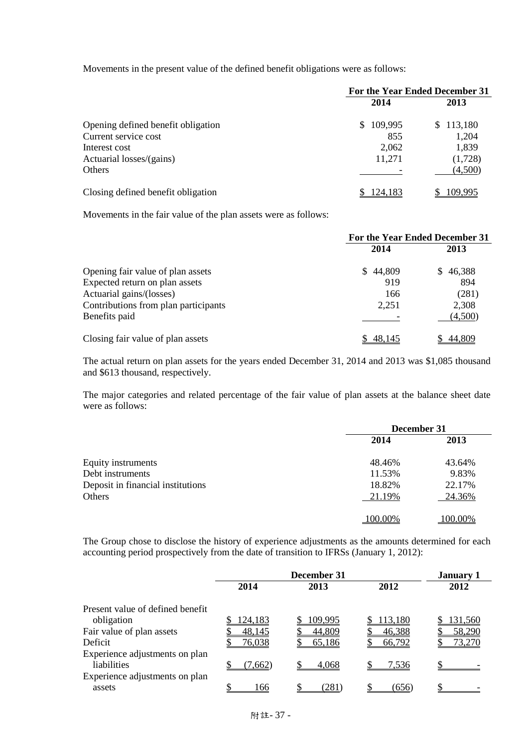Movements in the present value of the defined benefit obligations were as follows:

|                                    | For the Year Ended December 31 |           |  |
|------------------------------------|--------------------------------|-----------|--|
|                                    | 2014                           | 2013      |  |
| Opening defined benefit obligation | 109,995<br>S.                  | \$113,180 |  |
| Current service cost               | 855                            | 1,204     |  |
| Interest cost                      | 2,062                          | 1,839     |  |
| Actuarial losses/(gains)           | 11,271                         | (1,728)   |  |
| Others                             |                                | (4,500)   |  |
| Closing defined benefit obligation | 124.183                        | 109.995   |  |

Movements in the fair value of the plan assets were as follows:

|                                      | For the Year Ended December 31 |          |  |
|--------------------------------------|--------------------------------|----------|--|
|                                      | 2014                           | 2013     |  |
| Opening fair value of plan assets    | \$44,809                       | \$46,388 |  |
| Expected return on plan assets       | 919                            | 894      |  |
| Actuarial gains/(losses)             | 166                            | (281)    |  |
| Contributions from plan participants | 2,251                          | 2,308    |  |
| Benefits paid                        |                                | (4,500)  |  |
| Closing fair value of plan assets    | 48.145                         | 44.809   |  |

The actual return on plan assets for the years ended December 31, 2014 and 2013 was \$1,085 thousand and \$613 thousand, respectively.

The major categories and related percentage of the fair value of plan assets at the balance sheet date were as follows:

|                                   | December 31 |                |  |
|-----------------------------------|-------------|----------------|--|
|                                   | 2014        | 2013<br>43.64% |  |
| Equity instruments                | 48.46%      |                |  |
| Debt instruments                  | 11.53%      | 9.83%          |  |
| Deposit in financial institutions | 18.82%      | 22.17%         |  |
| Others                            | 21.19%      | 24.36%         |  |
|                                   | 100.00%     | 100.00%        |  |

The Group chose to disclose the history of experience adjustments as the amounts determined for each accounting period prospectively from the date of transition to IFRSs (January 1, 2012):

|                                  | December 31    |         |         | <b>January 1</b> |
|----------------------------------|----------------|---------|---------|------------------|
|                                  | 2014           | 2013    | 2012    | 2012             |
| Present value of defined benefit |                |         |         |                  |
| obligation                       | <u>124,183</u> | 109,995 | 113,180 | 131,560          |
| Fair value of plan assets        | 48,145         | 44,809  | 46,388  | 58,290           |
| Deficit                          | 76,038         | 65,186  | 66,792  | 73,270           |
| Experience adjustments on plan   |                |         |         |                  |
| liabilities                      | (7,662)        | 4.068   | 7,536   |                  |
| Experience adjustments on plan   |                |         |         |                  |
| assets                           | 166            | (281)   | (656)   |                  |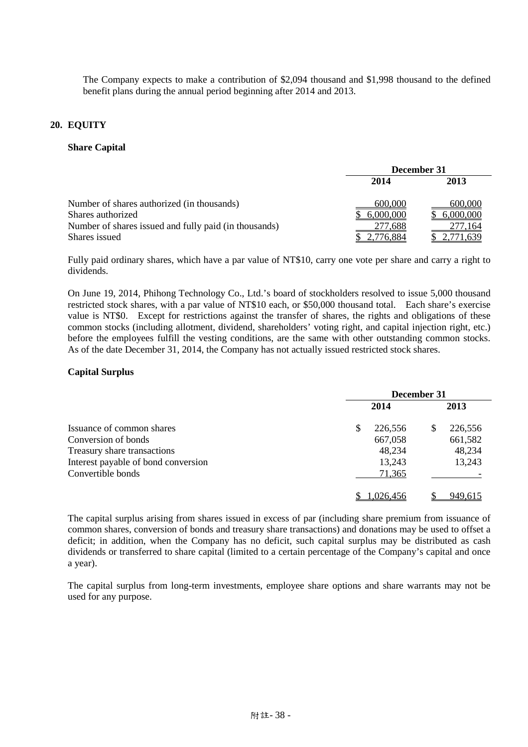The Company expects to make a contribution of \$2,094 thousand and \$1,998 thousand to the defined benefit plans during the annual period beginning after 2014 and 2013.

# **20. EQUITY**

#### **Share Capital**

|                                                       | December 31  |           |  |
|-------------------------------------------------------|--------------|-----------|--|
|                                                       | 2014<br>2013 |           |  |
| Number of shares authorized (in thousands)            | 600,000      | 600,000   |  |
| Shares authorized                                     | 6,000,000    | 6,000,000 |  |
| Number of shares issued and fully paid (in thousands) | 277,688      | 277,164   |  |
| Shares issued                                         | 2,776,884    | 2,771,639 |  |

Fully paid ordinary shares, which have a par value of NT\$10, carry one vote per share and carry a right to dividends.

On June 19, 2014, Phihong Technology Co., Ltd.'s board of stockholders resolved to issue 5,000 thousand restricted stock shares, with a par value of NT\$10 each, or \$50,000 thousand total. Each share's exercise value is NT\$0. Except for restrictions against the transfer of shares, the rights and obligations of these common stocks (including allotment, dividend, shareholders' voting right, and capital injection right, etc.) before the employees fulfill the vesting conditions, are the same with other outstanding common stocks. As of the date December 31, 2014, the Company has not actually issued restricted stock shares.

## **Capital Surplus**

|                                     | December 31 |           |      |         |
|-------------------------------------|-------------|-----------|------|---------|
|                                     | 2014        |           | 2013 |         |
| Issuance of common shares           |             | 226,556   | \$   | 226,556 |
| Conversion of bonds                 |             | 667,058   |      | 661,582 |
| Treasury share transactions         |             | 48,234    |      | 48,234  |
| Interest payable of bond conversion |             | 13,243    |      | 13,243  |
| Convertible bonds                   |             | 71,365    |      |         |
|                                     |             | 1.026.456 |      | 949.615 |

The capital surplus arising from shares issued in excess of par (including share premium from issuance of common shares, conversion of bonds and treasury share transactions) and donations may be used to offset a deficit; in addition, when the Company has no deficit, such capital surplus may be distributed as cash dividends or transferred to share capital (limited to a certain percentage of the Company's capital and once a year).

The capital surplus from long-term investments, employee share options and share warrants may not be used for any purpose.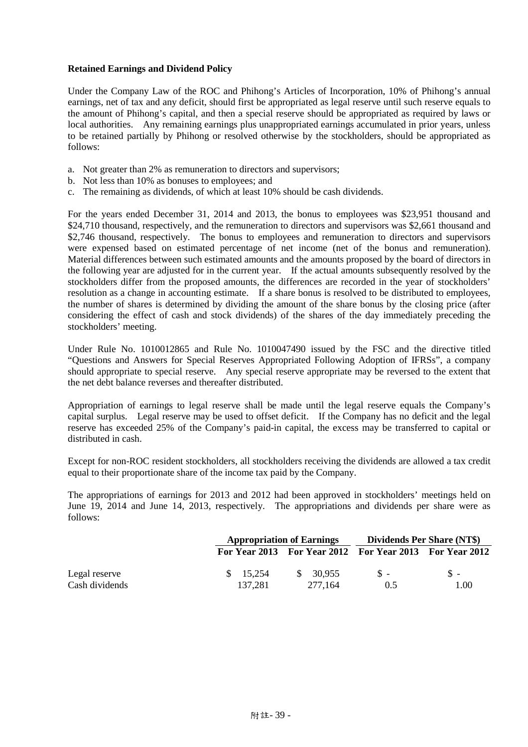# **Retained Earnings and Dividend Policy**

Under the Company Law of the ROC and Phihong's Articles of Incorporation, 10% of Phihong's annual earnings, net of tax and any deficit, should first be appropriated as legal reserve until such reserve equals to the amount of Phihong's capital, and then a special reserve should be appropriated as required by laws or local authorities. Any remaining earnings plus unappropriated earnings accumulated in prior years, unless to be retained partially by Phihong or resolved otherwise by the stockholders, should be appropriated as follows:

- a. Not greater than 2% as remuneration to directors and supervisors;
- b. Not less than 10% as bonuses to employees; and
- c. The remaining as dividends, of which at least 10% should be cash dividends.

For the years ended December 31, 2014 and 2013, the bonus to employees was \$23,951 thousand and \$24,710 thousand, respectively, and the remuneration to directors and supervisors was \$2,661 thousand and \$2,746 thousand, respectively. The bonus to employees and remuneration to directors and supervisors were expensed based on estimated percentage of net income (net of the bonus and remuneration). Material differences between such estimated amounts and the amounts proposed by the board of directors in the following year are adjusted for in the current year. If the actual amounts subsequently resolved by the stockholders differ from the proposed amounts, the differences are recorded in the year of stockholders' resolution as a change in accounting estimate. If a share bonus is resolved to be distributed to employees, the number of shares is determined by dividing the amount of the share bonus by the closing price (after considering the effect of cash and stock dividends) of the shares of the day immediately preceding the stockholders' meeting.

Under Rule No. 1010012865 and Rule No. 1010047490 issued by the FSC and the directive titled "Questions and Answers for Special Reserves Appropriated Following Adoption of IFRSs", a company should appropriate to special reserve. Any special reserve appropriate may be reversed to the extent that the net debt balance reverses and thereafter distributed.

Appropriation of earnings to legal reserve shall be made until the legal reserve equals the Company's capital surplus. Legal reserve may be used to offset deficit. If the Company has no deficit and the legal reserve has exceeded 25% of the Company's paid-in capital, the excess may be transferred to capital or distributed in cash.

Except for non-ROC resident stockholders, all stockholders receiving the dividends are allowed a tax credit equal to their proportionate share of the income tax paid by the Company.

The appropriations of earnings for 2013 and 2012 had been approved in stockholders' meetings held on June 19, 2014 and June 14, 2013, respectively. The appropriations and dividends per share were as follows:

|                |                     | <b>Appropriation of Earnings</b> |                                                         | Dividends Per Share (NT\$) |  |  |
|----------------|---------------------|----------------------------------|---------------------------------------------------------|----------------------------|--|--|
|                |                     |                                  | For Year 2013 For Year 2012 For Year 2013 For Year 2012 |                            |  |  |
| Legal reserve  | $\frac{\$}{15.254}$ | \$ 30.955                        | $S -$                                                   | $S -$                      |  |  |
| Cash dividends | 137.281             | 277.164                          | 0.5                                                     | 1.00                       |  |  |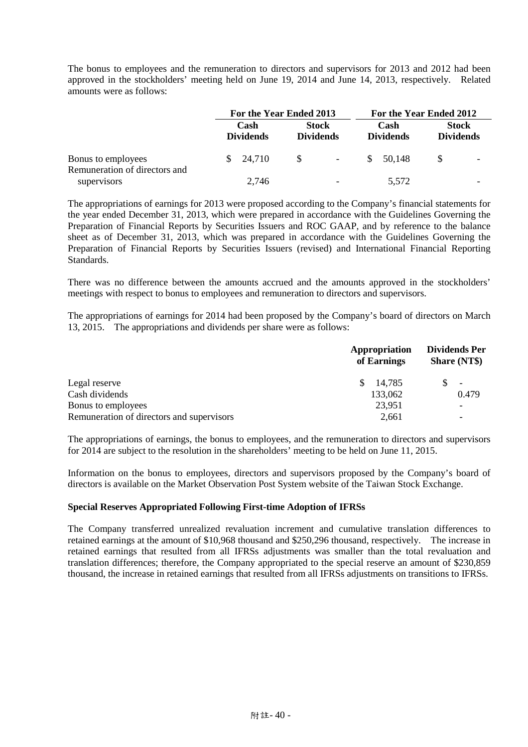The bonus to employees and the remuneration to directors and supervisors for 2013 and 2012 had been approved in the stockholders' meeting held on June 19, 2014 and June 14, 2013, respectively. Related amounts were as follows:

|                                                     | For the Year Ended 2013 |                          |               | For the Year Ended 2012          |                          |    |                                  |
|-----------------------------------------------------|-------------------------|--------------------------|---------------|----------------------------------|--------------------------|----|----------------------------------|
|                                                     |                         | Cash<br><b>Dividends</b> |               | <b>Stock</b><br><b>Dividends</b> | Cash<br><b>Dividends</b> |    | <b>Stock</b><br><b>Dividends</b> |
| Bonus to employees<br>Remuneration of directors and | S.                      | 24,710                   | $\mathcal{S}$ | $\sim$                           | \$ 50.148                | -S |                                  |
| supervisors                                         |                         | 2,746                    |               | $\overline{\phantom{0}}$         | 5,572                    |    |                                  |

The appropriations of earnings for 2013 were proposed according to the Company's financial statements for the year ended December 31, 2013, which were prepared in accordance with the Guidelines Governing the Preparation of Financial Reports by Securities Issuers and ROC GAAP, and by reference to the balance sheet as of December 31, 2013, which was prepared in accordance with the Guidelines Governing the Preparation of Financial Reports by Securities Issuers (revised) and International Financial Reporting **Standards** 

There was no difference between the amounts accrued and the amounts approved in the stockholders' meetings with respect to bonus to employees and remuneration to directors and supervisors.

The appropriations of earnings for 2014 had been proposed by the Company's board of directors on March 13, 2015. The appropriations and dividends per share were as follows:

| Appropriation<br>of Earnings | <b>Dividends Per</b><br><b>Share (NT\$)</b> |  |
|------------------------------|---------------------------------------------|--|
| 14,785<br>\$.                | $\overline{\phantom{a}}$                    |  |
| 133,062                      | 0.479                                       |  |
| 23,951                       |                                             |  |
| 2,661                        |                                             |  |
|                              |                                             |  |

The appropriations of earnings, the bonus to employees, and the remuneration to directors and supervisors for 2014 are subject to the resolution in the shareholders' meeting to be held on June 11, 2015.

Information on the bonus to employees, directors and supervisors proposed by the Company's board of directors is available on the Market Observation Post System website of the Taiwan Stock Exchange.

## **Special Reserves Appropriated Following First-time Adoption of IFRSs**

The Company transferred unrealized revaluation increment and cumulative translation differences to retained earnings at the amount of \$10,968 thousand and \$250,296 thousand, respectively. The increase in retained earnings that resulted from all IFRSs adjustments was smaller than the total revaluation and translation differences; therefore, the Company appropriated to the special reserve an amount of \$230,859 thousand, the increase in retained earnings that resulted from all IFRSs adjustments on transitions to IFRSs.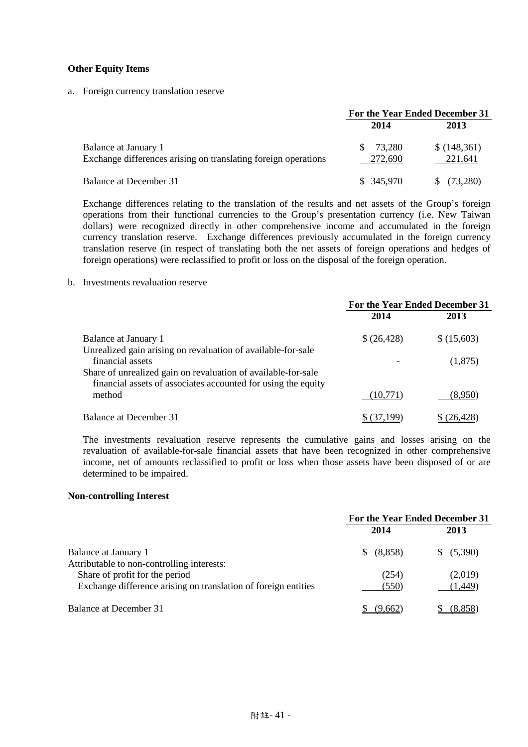### **Other Equity Items**

a. Foreign currency translation reserve

|                                                                                        | For the Year Ended December 31 |                        |  |
|----------------------------------------------------------------------------------------|--------------------------------|------------------------|--|
|                                                                                        | 2014                           | 2013                   |  |
| Balance at January 1<br>Exchange differences arising on translating foreign operations | 73.280<br>272,690              | \$(148,361)<br>221,641 |  |
| <b>Balance at December 31</b>                                                          | \$ 345,970                     | 73.280)                |  |

Exchange differences relating to the translation of the results and net assets of the Group's foreign operations from their functional currencies to the Group's presentation currency (i.e. New Taiwan dollars) were recognized directly in other comprehensive income and accumulated in the foreign currency translation reserve. Exchange differences previously accumulated in the foreign currency translation reserve (in respect of translating both the net assets of foreign operations and hedges of foreign operations) were reclassified to profit or loss on the disposal of the foreign operation.

#### b. Investments revaluation reserve

|                                                                                                                                | For the Year Ended December 31 |             |  |
|--------------------------------------------------------------------------------------------------------------------------------|--------------------------------|-------------|--|
|                                                                                                                                | 2014                           | 2013        |  |
| Balance at January 1                                                                                                           | \$(26,428)                     | \$ (15,603) |  |
| Unrealized gain arising on revaluation of available-for-sale<br>financial assets                                               |                                | (1,875)     |  |
| Share of unrealized gain on revaluation of available-for-sale<br>financial assets of associates accounted for using the equity |                                |             |  |
| method                                                                                                                         | (10,771)                       | (8,950)     |  |
| Balance at December 31                                                                                                         | (37,199)                       | \$ (26,428) |  |

The investments revaluation reserve represents the cumulative gains and losses arising on the revaluation of available-for-sale financial assets that have been recognized in other comprehensive income, net of amounts reclassified to profit or loss when those assets have been disposed of or are determined to be impaired.

#### **Non-controlling Interest**

|                                                                              | For the Year Ended December 31 |            |  |
|------------------------------------------------------------------------------|--------------------------------|------------|--|
|                                                                              | 2014                           | 2013       |  |
| Balance at January 1                                                         | (8,858)<br>S.                  | \$ (5,390) |  |
| Attributable to non-controlling interests:<br>Share of profit for the period | (254)                          | (2,019)    |  |
| Exchange difference arising on translation of foreign entities               | (550)                          | (1, 449)   |  |
| Balance at December 31                                                       | (9,662)                        | (8.858)    |  |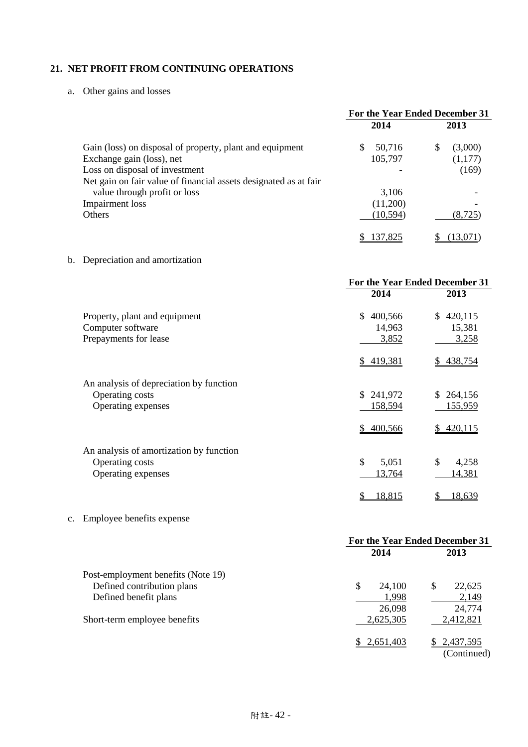# **21. NET PROFIT FROM CONTINUING OPERATIONS**

a. Other gains and losses

|                                                                  | For the Year Ended December 31 |              |
|------------------------------------------------------------------|--------------------------------|--------------|
|                                                                  | 2014                           | 2013         |
| Gain (loss) on disposal of property, plant and equipment         | 50,716<br>\$.                  | (3,000)<br>S |
| Exchange gain (loss), net                                        | 105,797                        | (1,177)      |
| Loss on disposal of investment                                   |                                | (169)        |
| Net gain on fair value of financial assets designated as at fair |                                |              |
| value through profit or loss                                     | 3,106                          |              |
| Impairment loss                                                  | (11,200)                       |              |
| <b>Others</b>                                                    | (10, 594)                      | (8.725)      |
|                                                                  | 137,825                        | 13.07        |

# b. Depreciation and amortization

|                                         | For the Year Ended December 31 |               |  |
|-----------------------------------------|--------------------------------|---------------|--|
|                                         | 2014                           | 2013          |  |
| Property, plant and equipment           | 400,566<br>\$.                 | 420,115<br>S. |  |
| Computer software                       | 14,963                         | 15,381        |  |
| Prepayments for lease                   | 3,852                          | 3,258         |  |
|                                         | \$419,381                      | 438,754<br>S. |  |
| An analysis of depreciation by function |                                |               |  |
| Operating costs                         | \$241,972                      | 264,156<br>S. |  |
| Operating expenses                      | 158,594                        | 155,959       |  |
|                                         | 400,566<br>S.                  | 420,115       |  |
| An analysis of amortization by function |                                |               |  |
| Operating costs                         | \$<br>5,051                    | \$<br>4,258   |  |
| Operating expenses                      | 13,764                         | 14,381        |  |
|                                         | 18,815<br>\$                   | 18,639<br>\$  |  |

# c. Employee benefits expense

|                                    | For the Year Ended December 31 |                          |
|------------------------------------|--------------------------------|--------------------------|
|                                    | 2014                           | 2013                     |
| Post-employment benefits (Note 19) |                                |                          |
| Defined contribution plans         | \$<br>24,100                   | \$<br>22,625             |
| Defined benefit plans              | 1,998                          | 2,149                    |
|                                    | 26,098                         | 24,774                   |
| Short-term employee benefits       | 2,625,305                      | 2,412,821                |
|                                    | 2,651,403                      | 2,437,595<br>(Continued) |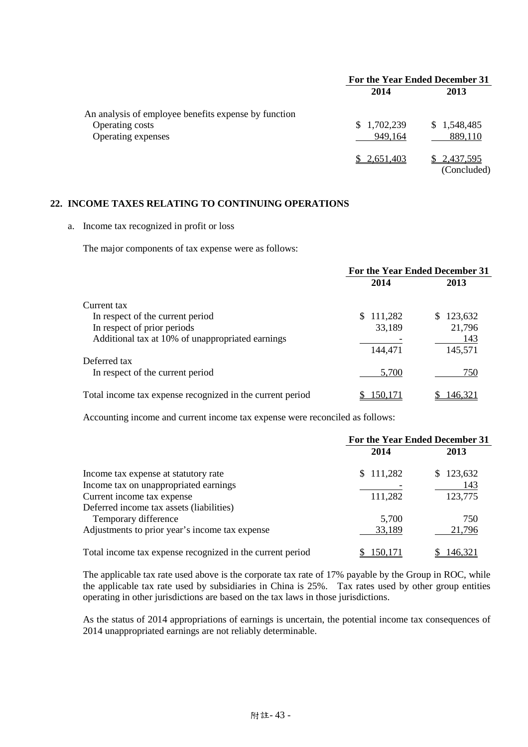|                                                      | For the Year Ended December 31 |             |
|------------------------------------------------------|--------------------------------|-------------|
|                                                      | 2014                           | 2013        |
| An analysis of employee benefits expense by function |                                |             |
| Operating costs                                      | 1,702,239<br>S.                | \$1,548,485 |
| Operating expenses                                   | 949,164                        | 889,110     |
|                                                      | \$2,651,403                    | \$2,437,595 |
|                                                      |                                | (Concluded) |

# **22. INCOME TAXES RELATING TO CONTINUING OPERATIONS**

#### a. Income tax recognized in profit or loss

The major components of tax expense were as follows:

|                                                           | For the Year Ended December 31 |               |
|-----------------------------------------------------------|--------------------------------|---------------|
|                                                           | 2014                           | 2013          |
| Current tax                                               |                                |               |
| In respect of the current period                          | 111,282<br>\$.                 | 123,632<br>S. |
| In respect of prior periods                               | 33,189                         | 21,796        |
| Additional tax at 10% of unappropriated earnings          |                                | 143           |
|                                                           | 144,471                        | 145,571       |
| Deferred tax                                              |                                |               |
| In respect of the current period                          | 5,700                          | 750           |
| Total income tax expense recognized in the current period | 150.171                        | 146.32        |

Accounting income and current income tax expense were reconciled as follows:

|                                                           | For the Year Ended December 31 |               |
|-----------------------------------------------------------|--------------------------------|---------------|
|                                                           | 2014                           | 2013          |
| Income tax expense at statutory rate                      | \$111,282                      | 123,632<br>S. |
| Income tax on unappropriated earnings                     |                                | 143           |
| Current income tax expense                                | 111,282                        | 123,775       |
| Deferred income tax assets (liabilities)                  |                                |               |
| Temporary difference                                      | 5,700                          | 750           |
| Adjustments to prior year's income tax expense            | 33,189                         | 21,796        |
| Total income tax expense recognized in the current period | 150.171                        | 146.321       |

The applicable tax rate used above is the corporate tax rate of 17% payable by the Group in ROC, while the applicable tax rate used by subsidiaries in China is 25%. Tax rates used by other group entities operating in other jurisdictions are based on the tax laws in those jurisdictions.

As the status of 2014 appropriations of earnings is uncertain, the potential income tax consequences of 2014 unappropriated earnings are not reliably determinable.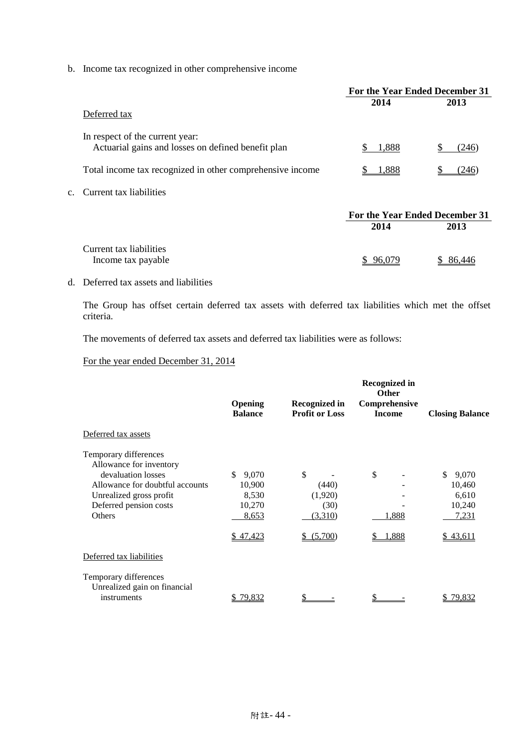b. Income tax recognized in other comprehensive income

|                |                                                                                       | For the Year Ended December 31 |        |
|----------------|---------------------------------------------------------------------------------------|--------------------------------|--------|
|                | Deferred tax                                                                          | 2014                           | 2013   |
|                | In respect of the current year:<br>Actuarial gains and losses on defined benefit plan | 1,888                          | (246)  |
|                | Total income tax recognized in other comprehensive income                             | 1,888                          | (246   |
| $\mathbf{c}$ . | Current tax liabilities                                                               |                                |        |
|                |                                                                                       | For the Year Ended December 31 |        |
|                |                                                                                       | 2014                           | 2013   |
|                | Current tax liabilities<br>Income tax payable                                         |                                | 86,446 |

# d. Deferred tax assets and liabilities

The Group has offset certain deferred tax assets with deferred tax liabilities which met the offset criteria.

The movements of deferred tax assets and deferred tax liabilities were as follows:

For the year ended December 31, 2014

|                                                                                                                                                                          | Opening<br><b>Balance</b>                                      | <b>Recognized in</b><br><b>Profit or Loss</b>              | Recognized in<br><b>Other</b><br>Comprehensive<br><b>Income</b> | <b>Closing Balance</b>                                         |
|--------------------------------------------------------------------------------------------------------------------------------------------------------------------------|----------------------------------------------------------------|------------------------------------------------------------|-----------------------------------------------------------------|----------------------------------------------------------------|
| Deferred tax assets                                                                                                                                                      |                                                                |                                                            |                                                                 |                                                                |
| Temporary differences<br>Allowance for inventory<br>devaluation losses<br>Allowance for doubtful accounts<br>Unrealized gross profit<br>Deferred pension costs<br>Others | \$.<br>9,070<br>10,900<br>8,530<br>10,270<br>8,653<br>\$47,423 | \$<br>(440)<br>(1,920)<br>(30)<br>(3,310)<br>(5,700)<br>S. | \$<br>1,888<br>1,888                                            | \$.<br>9,070<br>10,460<br>6,610<br>10,240<br>7,231<br>\$43,611 |
| Deferred tax liabilities                                                                                                                                                 |                                                                |                                                            |                                                                 |                                                                |
| Temporary differences<br>Unrealized gain on financial<br>instruments                                                                                                     | 79,832<br>S                                                    |                                                            |                                                                 | \$79,832                                                       |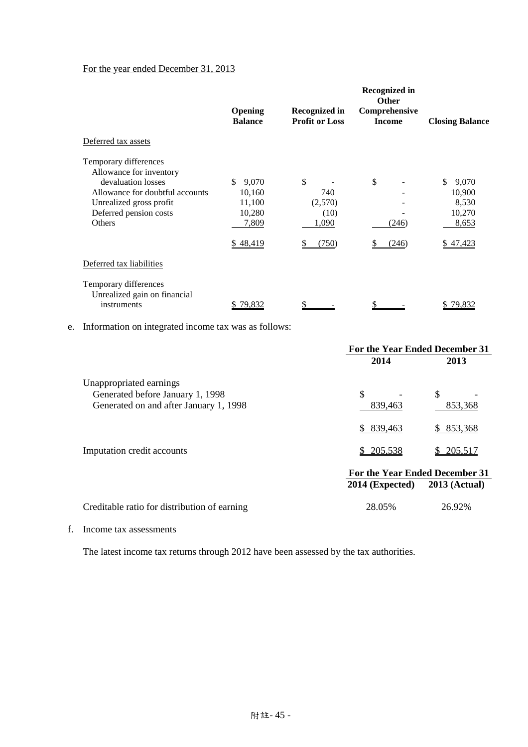# For the year ended December 31, 2013

|                                                                                                                                                                          | Opening<br><b>Balance</b>                                      | Recognized in<br><b>Profit or Loss</b>         | <b>Recognized in</b><br><b>Other</b><br>Comprehensive<br><b>Income</b> | <b>Closing Balance</b>                                         |
|--------------------------------------------------------------------------------------------------------------------------------------------------------------------------|----------------------------------------------------------------|------------------------------------------------|------------------------------------------------------------------------|----------------------------------------------------------------|
| Deferred tax assets                                                                                                                                                      |                                                                |                                                |                                                                        |                                                                |
| Temporary differences<br>Allowance for inventory<br>devaluation losses<br>Allowance for doubtful accounts<br>Unrealized gross profit<br>Deferred pension costs<br>Others | \$<br>9,070<br>10,160<br>11,100<br>10,280<br>7,809<br>\$48,419 | \$<br>740<br>(2,570)<br>(10)<br>1,090<br>(750) | \$<br>(246)<br>(246)                                                   | \$.<br>9,070<br>10,900<br>8,530<br>10,270<br>8,653<br>\$47,423 |
| Deferred tax liabilities                                                                                                                                                 |                                                                |                                                |                                                                        |                                                                |
| Temporary differences<br>Unrealized gain on financial<br>instruments                                                                                                     | 79,832                                                         |                                                |                                                                        | 79,832                                                         |

e. Information on integrated income tax was as follows:

|                                                             | For the Year Ended December 31 |                      |  |
|-------------------------------------------------------------|--------------------------------|----------------------|--|
|                                                             | 2014                           | 2013                 |  |
| Unappropriated earnings<br>Generated before January 1, 1998 | \$                             | \$                   |  |
| Generated on and after January 1, 1998                      | 839,463                        | 853,368              |  |
|                                                             | 839,463                        | \$ 853,368           |  |
| Imputation credit accounts                                  | 205,538<br>S.                  | \$205,517            |  |
|                                                             | For the Year Ended December 31 |                      |  |
|                                                             | $2014$ (Expected)              | <b>2013 (Actual)</b> |  |
| Creditable ratio for distribution of earning                | 28.05%                         | 26.92%               |  |

f. Income tax assessments

The latest income tax returns through 2012 have been assessed by the tax authorities.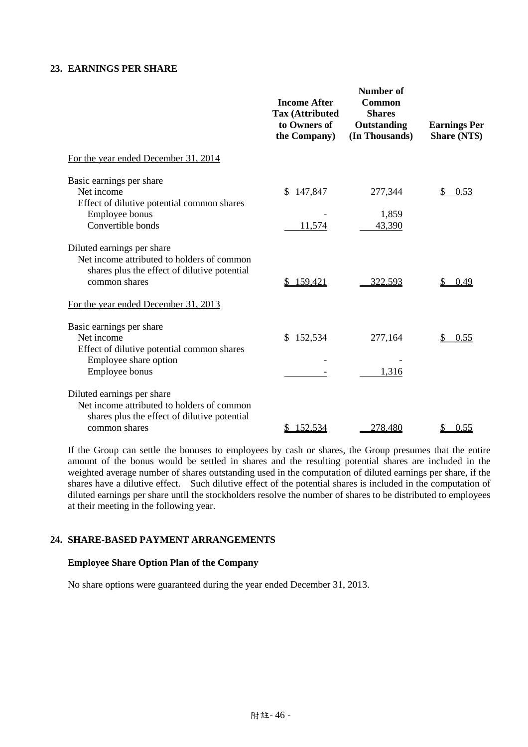# **23. EARNINGS PER SHARE**

|                                                                                                                                           | <b>Income After</b><br><b>Tax (Attributed</b><br>to Owners of<br>the Company) | <b>Number of</b><br>Common<br><b>Shares</b><br>Outstanding<br>(In Thousands) | <b>Earnings Per</b><br><b>Share (NT\$)</b> |
|-------------------------------------------------------------------------------------------------------------------------------------------|-------------------------------------------------------------------------------|------------------------------------------------------------------------------|--------------------------------------------|
| For the year ended December 31, 2014                                                                                                      |                                                                               |                                                                              |                                            |
| Basic earnings per share<br>Net income<br>Effect of dilutive potential common shares                                                      | 147,847<br>\$                                                                 | 277,344                                                                      | 0.53                                       |
| Employee bonus<br>Convertible bonds                                                                                                       | 11,574                                                                        | 1,859<br>43,390                                                              |                                            |
| Diluted earnings per share<br>Net income attributed to holders of common<br>shares plus the effect of dilutive potential<br>common shares | 159,421                                                                       | 322,593                                                                      | 0.49                                       |
| For the year ended December 31, 2013                                                                                                      |                                                                               |                                                                              |                                            |
| Basic earnings per share<br>Net income<br>Effect of dilutive potential common shares                                                      | 152,534<br>\$                                                                 | 277,164                                                                      | 0.55                                       |
| Employee share option<br>Employee bonus                                                                                                   |                                                                               | 1,316                                                                        |                                            |
| Diluted earnings per share<br>Net income attributed to holders of common<br>shares plus the effect of dilutive potential                  |                                                                               |                                                                              |                                            |
| common shares                                                                                                                             | 152,534<br>\$                                                                 | 278,480                                                                      | 0.55<br>\$                                 |

If the Group can settle the bonuses to employees by cash or shares, the Group presumes that the entire amount of the bonus would be settled in shares and the resulting potential shares are included in the weighted average number of shares outstanding used in the computation of diluted earnings per share, if the shares have a dilutive effect. Such dilutive effect of the potential shares is included in the computation of diluted earnings per share until the stockholders resolve the number of shares to be distributed to employees at their meeting in the following year.

# **24. SHARE-BASED PAYMENT ARRANGEMENTS**

#### **Employee Share Option Plan of the Company**

No share options were guaranteed during the year ended December 31, 2013.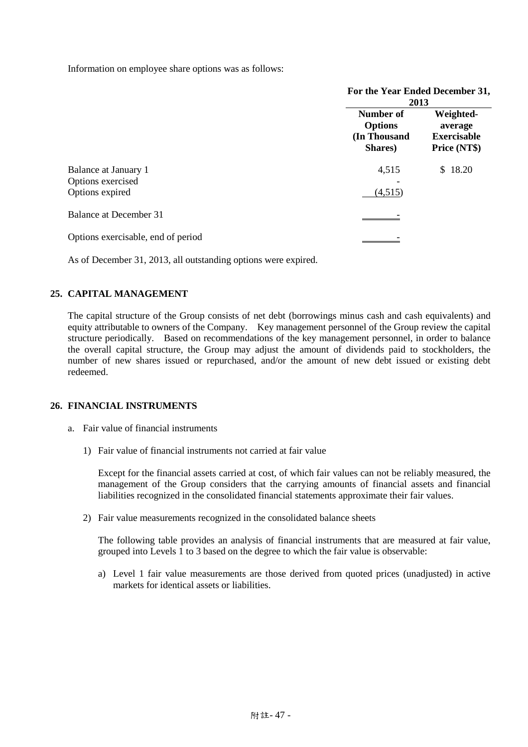Information on employee share options was as follows:

|                                                              | For the Year Ended December 31,<br>2013                |                                                            |
|--------------------------------------------------------------|--------------------------------------------------------|------------------------------------------------------------|
|                                                              | Number of<br><b>Options</b><br>(In Thousand<br>Shares) | Weighted-<br>average<br><b>Exercisable</b><br>Price (NT\$) |
| Balance at January 1<br>Options exercised<br>Options expired | 4,515<br>(4,515)                                       | \$18.20                                                    |
| Balance at December 31                                       |                                                        |                                                            |
| Options exercisable, end of period                           |                                                        |                                                            |

As of December 31, 2013, all outstanding options were expired.

## **25. CAPITAL MANAGEMENT**

The capital structure of the Group consists of net debt (borrowings minus cash and cash equivalents) and equity attributable to owners of the Company. Key management personnel of the Group review the capital structure periodically. Based on recommendations of the key management personnel, in order to balance the overall capital structure, the Group may adjust the amount of dividends paid to stockholders, the number of new shares issued or repurchased, and/or the amount of new debt issued or existing debt redeemed.

## **26. FINANCIAL INSTRUMENTS**

- a. Fair value of financial instruments
	- 1) Fair value of financial instruments not carried at fair value

Except for the financial assets carried at cost, of which fair values can not be reliably measured, the management of the Group considers that the carrying amounts of financial assets and financial liabilities recognized in the consolidated financial statements approximate their fair values.

2) Fair value measurements recognized in the consolidated balance sheets

The following table provides an analysis of financial instruments that are measured at fair value, grouped into Levels 1 to 3 based on the degree to which the fair value is observable:

a) Level 1 fair value measurements are those derived from quoted prices (unadjusted) in active markets for identical assets or liabilities.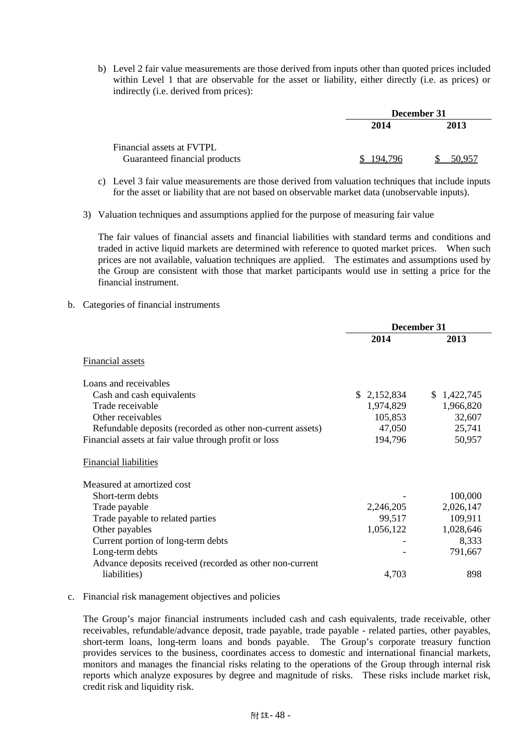b) Level 2 fair value measurements are those derived from inputs other than quoted prices included within Level 1 that are observable for the asset or liability, either directly (i.e. as prices) or indirectly (i.e. derived from prices):

|                               | December 31 |        |  |
|-------------------------------|-------------|--------|--|
|                               | 2014        | 2013   |  |
| Financial assets at FVTPL     |             |        |  |
| Guaranteed financial products | 194 796     | 50.957 |  |

- c) Level 3 fair value measurements are those derived from valuation techniques that include inputs for the asset or liability that are not based on observable market data (unobservable inputs).
- 3) Valuation techniques and assumptions applied for the purpose of measuring fair value

The fair values of financial assets and financial liabilities with standard terms and conditions and traded in active liquid markets are determined with reference to quoted market prices. When such prices are not available, valuation techniques are applied. The estimates and assumptions used by the Group are consistent with those that market participants would use in setting a price for the financial instrument.

b. Categories of financial instruments

|                                                            | December 31 |             |
|------------------------------------------------------------|-------------|-------------|
|                                                            | 2014        | 2013        |
| Financial assets                                           |             |             |
| Loans and receivables                                      |             |             |
| Cash and cash equivalents                                  | \$2,152,834 | \$1,422,745 |
| Trade receivable                                           | 1,974,829   | 1,966,820   |
| Other receivables                                          | 105,853     | 32,607      |
| Refundable deposits (recorded as other non-current assets) | 47,050      | 25,741      |
| Financial assets at fair value through profit or loss      | 194,796     | 50,957      |
| <b>Financial liabilities</b>                               |             |             |
| Measured at amortized cost                                 |             |             |
| Short-term debts                                           |             | 100,000     |
| Trade payable                                              | 2,246,205   | 2,026,147   |
| Trade payable to related parties                           | 99,517      | 109,911     |
| Other payables                                             | 1,056,122   | 1,028,646   |
| Current portion of long-term debts                         |             | 8,333       |
| Long-term debts                                            |             | 791,667     |
| Advance deposits received (recorded as other non-current   |             |             |
| liabilities)                                               | 4,703       | 898         |

## c. Financial risk management objectives and policies

The Group's major financial instruments included cash and cash equivalents, trade receivable, other receivables, refundable/advance deposit, trade payable, trade payable - related parties, other payables, short-term loans, long-term loans and bonds payable. The Group's corporate treasury function provides services to the business, coordinates access to domestic and international financial markets, monitors and manages the financial risks relating to the operations of the Group through internal risk reports which analyze exposures by degree and magnitude of risks. These risks include market risk, credit risk and liquidity risk.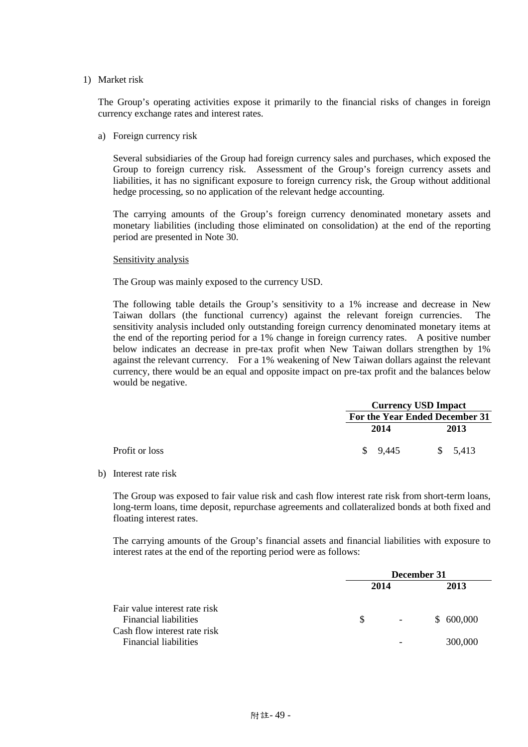#### 1) Market risk

The Group's operating activities expose it primarily to the financial risks of changes in foreign currency exchange rates and interest rates.

a) Foreign currency risk

Several subsidiaries of the Group had foreign currency sales and purchases, which exposed the Group to foreign currency risk. Assessment of the Group's foreign currency assets and liabilities, it has no significant exposure to foreign currency risk, the Group without additional hedge processing, so no application of the relevant hedge accounting.

The carrying amounts of the Group's foreign currency denominated monetary assets and monetary liabilities (including those eliminated on consolidation) at the end of the reporting period are presented in Note 30.

#### Sensitivity analysis

The Group was mainly exposed to the currency USD.

The following table details the Group's sensitivity to a 1% increase and decrease in New Taiwan dollars (the functional currency) against the relevant foreign currencies. The sensitivity analysis included only outstanding foreign currency denominated monetary items at the end of the reporting period for a 1% change in foreign currency rates. A positive number below indicates an decrease in pre-tax profit when New Taiwan dollars strengthen by 1% against the relevant currency. For a 1% weakening of New Taiwan dollars against the relevant currency, there would be an equal and opposite impact on pre-tax profit and the balances below would be negative.

|                |                     | <b>Currency USD Impact</b>     |  |  |
|----------------|---------------------|--------------------------------|--|--|
|                |                     | For the Year Ended December 31 |  |  |
|                | 2014                | 2013                           |  |  |
| Profit or loss | $\frac{1}{2}$ 9.445 | \$5,413                        |  |  |

b) Interest rate risk

The Group was exposed to fair value risk and cash flow interest rate risk from short-term loans, long-term loans, time deposit, repurchase agreements and collateralized bonds at both fixed and floating interest rates.

The carrying amounts of the Group's financial assets and financial liabilities with exposure to interest rates at the end of the reporting period were as follows:

|                                                                                                                               | December 31 |                   |                      |
|-------------------------------------------------------------------------------------------------------------------------------|-------------|-------------------|----------------------|
|                                                                                                                               | 2014        |                   | 2013                 |
| Fair value interest rate risk<br><b>Financial liabilities</b><br>Cash flow interest rate risk<br><b>Financial liabilities</b> | S.          | $\Delta \sim 100$ | \$600,000<br>300,000 |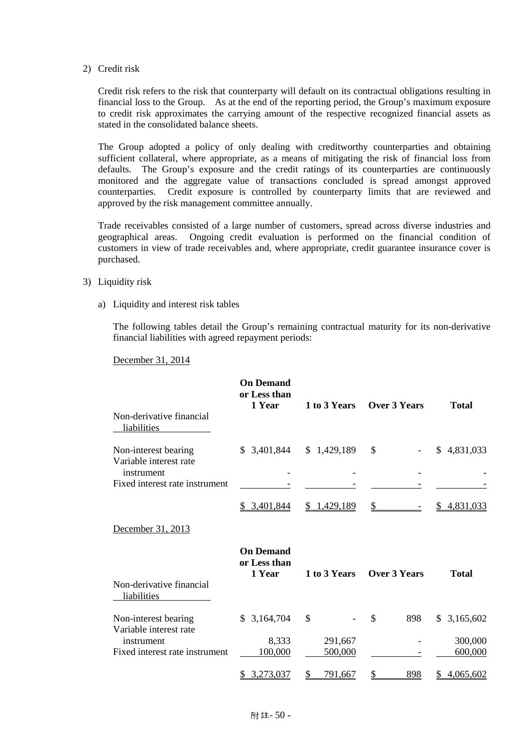#### 2) Credit risk

Credit risk refers to the risk that counterparty will default on its contractual obligations resulting in financial loss to the Group. As at the end of the reporting period, the Group's maximum exposure to credit risk approximates the carrying amount of the respective recognized financial assets as stated in the consolidated balance sheets.

The Group adopted a policy of only dealing with creditworthy counterparties and obtaining sufficient collateral, where appropriate, as a means of mitigating the risk of financial loss from defaults. The Group's exposure and the credit ratings of its counterparties are continuously monitored and the aggregate value of transactions concluded is spread amongst approved counterparties. Credit exposure is controlled by counterparty limits that are reviewed and approved by the risk management committee annually.

Trade receivables consisted of a large number of customers, spread across diverse industries and geographical areas. Ongoing credit evaluation is performed on the financial condition of customers in view of trade receivables and, where appropriate, credit guarantee insurance cover is purchased.

- 3) Liquidity risk
	- a) Liquidity and interest risk tables

The following tables detail the Group's remaining contractual maturity for its non-derivative financial liabilities with agreed repayment periods:

December 31, 2014

| Non-derivative financial<br>liabilities        | <b>On Demand</b><br>or Less than<br>1 Year | 1 to 3 Years | <b>Over 3 Years</b>  | <b>Total</b>    |
|------------------------------------------------|--------------------------------------------|--------------|----------------------|-----------------|
| Non-interest bearing                           | \$3,401,844                                | \$1,429,189  | \$                   | \$4,831,033     |
| Variable interest rate<br>instrument           |                                            |              |                      |                 |
| Fixed interest rate instrument                 |                                            |              |                      |                 |
|                                                | \$3,401,844                                | \$1,429,189  | \$                   | 4,831,033<br>S. |
| December 31, 2013                              |                                            |              |                      |                 |
|                                                | <b>On Demand</b><br>or Less than<br>1 Year | 1 to 3 Years | <b>Over 3 Years</b>  | <b>Total</b>    |
| Non-derivative financial<br>liabilities        |                                            |              |                      |                 |
| Non-interest bearing<br>Variable interest rate | \$3,164,704                                | \$           | $\mathcal{S}$<br>898 | 3,165,602<br>S. |
| instrument                                     | 8,333                                      | 291,667      |                      | 300,000         |
| Fixed interest rate instrument                 | 100,000                                    | 500,000      |                      | 600,000         |
|                                                | 3,273,037                                  | 791,667      | 898                  | 4,065,602       |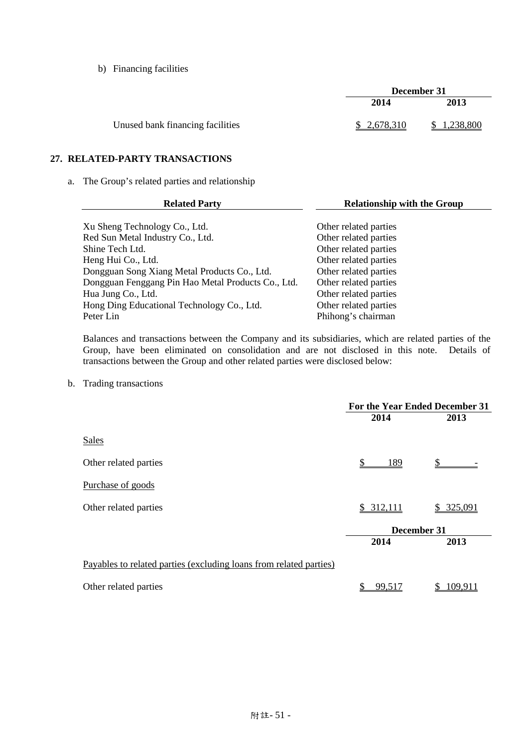b) Financing facilities

|                                  | December 31  |             |
|----------------------------------|--------------|-------------|
|                                  | 2014         | 2013        |
| Unused bank financing facilities | \$ 2,678,310 | \$1.238,800 |

# **27. RELATED-PARTY TRANSACTIONS**

a. The Group's related parties and relationship

| <b>Related Party</b>                               | <b>Relationship with the Group</b> |
|----------------------------------------------------|------------------------------------|
|                                                    |                                    |
| Xu Sheng Technology Co., Ltd.                      | Other related parties              |
| Red Sun Metal Industry Co., Ltd.                   | Other related parties              |
| Shine Tech Ltd.                                    | Other related parties              |
| Heng Hui Co., Ltd.                                 | Other related parties              |
| Dongguan Song Xiang Metal Products Co., Ltd.       | Other related parties              |
| Dongguan Fenggang Pin Hao Metal Products Co., Ltd. | Other related parties              |
| Hua Jung Co., Ltd.                                 | Other related parties              |
| Hong Ding Educational Technology Co., Ltd.         | Other related parties              |
| Peter Lin                                          | Phihong's chairman                 |

Balances and transactions between the Company and its subsidiaries, which are related parties of the Group, have been eliminated on consolidation and are not disclosed in this note. Details of transactions between the Group and other related parties were disclosed below:

b. Trading transactions

|                                                                    | For the Year Ended December 31 |             |  |  |
|--------------------------------------------------------------------|--------------------------------|-------------|--|--|
|                                                                    | 2014                           | 2013        |  |  |
| Sales                                                              |                                |             |  |  |
| Other related parties                                              | 189                            |             |  |  |
| Purchase of goods                                                  |                                |             |  |  |
| Other related parties                                              | \$312,111                      | \$325,091   |  |  |
|                                                                    |                                | December 31 |  |  |
|                                                                    | 2014                           | 2013        |  |  |
| Payables to related parties (excluding loans from related parties) |                                |             |  |  |
| Other related parties                                              | 99,517                         | 109.91      |  |  |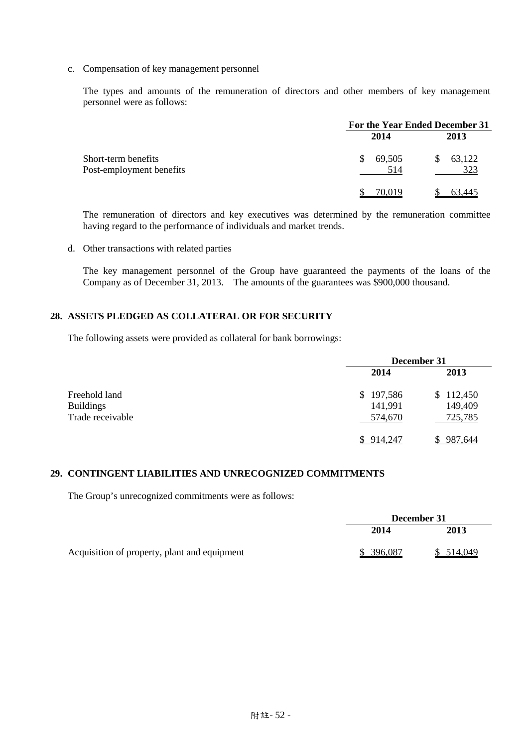c. Compensation of key management personnel

The types and amounts of the remuneration of directors and other members of key management personnel were as follows:

|                                                 | For the Year Ended December 31 |                    |  |
|-------------------------------------------------|--------------------------------|--------------------|--|
|                                                 | 2014                           | 2013               |  |
| Short-term benefits<br>Post-employment benefits | 69,505<br>S.<br>514            | 63,122<br>S<br>323 |  |
|                                                 | 70,019                         | 63,445             |  |

The remuneration of directors and key executives was determined by the remuneration committee having regard to the performance of individuals and market trends.

d. Other transactions with related parties

The key management personnel of the Group have guaranteed the payments of the loans of the Company as of December 31, 2013. The amounts of the guarantees was \$900,000 thousand.

# **28. ASSETS PLEDGED AS COLLATERAL OR FOR SECURITY**

The following assets were provided as collateral for bank borrowings:

|                  | December 31 |           |  |
|------------------|-------------|-----------|--|
|                  | 2014        | 2013      |  |
| Freehold land    | \$197,586   | \$112,450 |  |
| <b>Buildings</b> | 141,991     | 149,409   |  |
| Trade receivable | 574,670     | 725,785   |  |
|                  | \$914,247   | 987,644   |  |

## **29. CONTINGENT LIABILITIES AND UNRECOGNIZED COMMITMENTS**

The Group's unrecognized commitments were as follows:

|                                              | December 31 |           |
|----------------------------------------------|-------------|-----------|
|                                              | 2014        | 2013      |
| Acquisition of property, plant and equipment | \$ 396,087  | \$514,049 |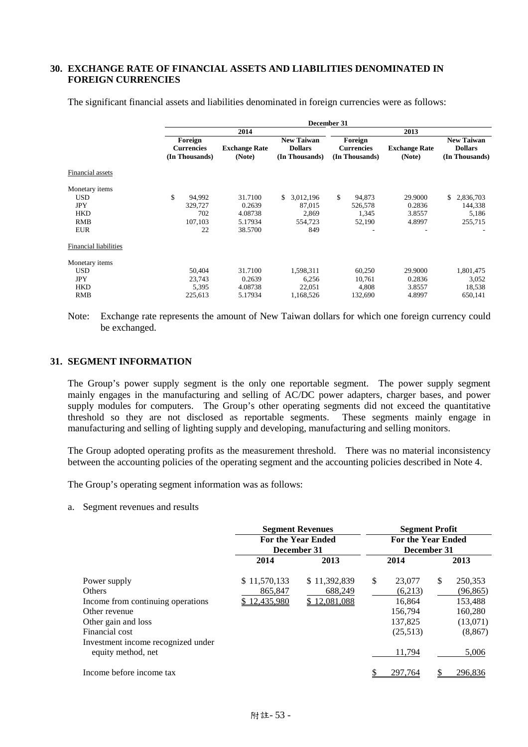## **30. EXCHANGE RATE OF FINANCIAL ASSETS AND LIABILITIES DENOMINATED IN FOREIGN CURRENCIES**

|                              |                                                | December 31                    |                                                       |                                                |                                |                                                       |
|------------------------------|------------------------------------------------|--------------------------------|-------------------------------------------------------|------------------------------------------------|--------------------------------|-------------------------------------------------------|
|                              |                                                | 2014                           |                                                       |                                                | 2013                           |                                                       |
|                              | Foreign<br><b>Currencies</b><br>(In Thousands) | <b>Exchange Rate</b><br>(Note) | <b>New Taiwan</b><br><b>Dollars</b><br>(In Thousands) | Foreign<br><b>Currencies</b><br>(In Thousands) | <b>Exchange Rate</b><br>(Note) | <b>New Taiwan</b><br><b>Dollars</b><br>(In Thousands) |
| Financial assets             |                                                |                                |                                                       |                                                |                                |                                                       |
| Monetary items               |                                                |                                |                                                       |                                                |                                |                                                       |
| USD                          | \$<br>94,992                                   | 31.7100                        | 3,012,196<br>\$                                       | \$<br>94,873                                   | 29.9000                        | \$<br>2,836,703                                       |
| <b>JPY</b>                   | 329,727                                        | 0.2639                         | 87,015                                                | 526,578                                        | 0.2836                         | 144,338                                               |
| <b>HKD</b>                   | 702                                            | 4.08738                        | 2,869                                                 | 1,345                                          | 3.8557                         | 5,186                                                 |
| <b>RMB</b>                   | 107,103                                        | 5.17934                        | 554,723                                               | 52,190                                         | 4.8997                         | 255,715                                               |
| <b>EUR</b>                   | 22                                             | 38.5700                        | 849                                                   | ٠                                              | ۰                              |                                                       |
| <b>Financial liabilities</b> |                                                |                                |                                                       |                                                |                                |                                                       |
| Monetary items               |                                                |                                |                                                       |                                                |                                |                                                       |
| <b>USD</b>                   | 50,404                                         | 31.7100                        | 1,598,311                                             | 60,250                                         | 29.9000                        | 1,801,475                                             |
| <b>JPY</b>                   | 23,743                                         | 0.2639                         | 6,256                                                 | 10,761                                         | 0.2836                         | 3,052                                                 |
| <b>HKD</b>                   | 5,395                                          | 4.08738                        | 22,051                                                | 4,808                                          | 3.8557                         | 18,538                                                |
| <b>RMB</b>                   | 225,613                                        | 5.17934                        | 1,168,526                                             | 132,690                                        | 4.8997                         | 650,141                                               |

The significant financial assets and liabilities denominated in foreign currencies were as follows:

#### **31. SEGMENT INFORMATION**

The Group's power supply segment is the only one reportable segment. The power supply segment mainly engages in the manufacturing and selling of AC/DC power adapters, charger bases, and power supply modules for computers. The Group's other operating segments did not exceed the quantitative threshold so they are not disclosed as reportable segments. These segments mainly engage in manufacturing and selling of lighting supply and developing, manufacturing and selling monitors.

The Group adopted operating profits as the measurement threshold. There was no material inconsistency between the accounting policies of the operating segment and the accounting policies described in Note 4.

The Group's operating segment information was as follows:

a. Segment revenues and results

|                                                          | <b>Segment Revenues</b><br><b>For the Year Ended</b> |              | <b>Segment Profit</b><br><b>For the Year Ended</b> |             |    |           |  |
|----------------------------------------------------------|------------------------------------------------------|--------------|----------------------------------------------------|-------------|----|-----------|--|
|                                                          |                                                      |              |                                                    |             |    |           |  |
|                                                          | December 31                                          |              |                                                    | December 31 |    |           |  |
|                                                          | 2014                                                 | 2013         |                                                    | 2014        |    | 2013      |  |
| Power supply                                             | \$11,570,133                                         | \$11,392,839 | \$                                                 | 23,077      | \$ | 250,353   |  |
| <b>Others</b>                                            | 865,847                                              | 688,249      |                                                    | (6,213)     |    | (96, 865) |  |
| Income from continuing operations                        | <u>\$12,435,980</u>                                  | \$12,081,088 |                                                    | 16.864      |    | 153,488   |  |
| Other revenue                                            |                                                      |              |                                                    | 156,794     |    | 160,280   |  |
| Other gain and loss                                      |                                                      |              |                                                    | 137.825     |    | (13,071)  |  |
| Financial cost                                           |                                                      |              |                                                    | (25,513)    |    | (8, 867)  |  |
| Investment income recognized under<br>equity method, net |                                                      |              |                                                    | 11,794      |    | 5,006     |  |
| Income before income tax                                 |                                                      |              |                                                    | 297,764     |    | 296,836   |  |

Note: Exchange rate represents the amount of New Taiwan dollars for which one foreign currency could be exchanged.